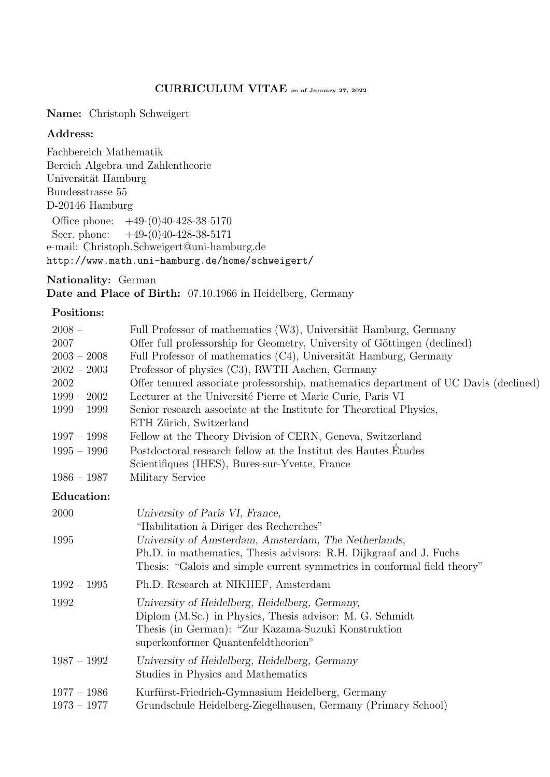### CURRICULUM VITAE as of January 27, 2022

Name: Christoph Schweigert

#### Address:

Fachbereich Mathematik Bereich Algebra und Zahlentheorie Universität Hamburg Bundesstrasse 55 D-20146 Hamburg Office phone: +49-(0)40-428-38-5170 Secr. phone:  $+49-(0)40-428-38-5171$ e-mail: Christoph.Schweigert@uni-hamburg.de http://www.math.uni-hamburg.de/home/schweigert/

Nationality: German Date and Place of Birth: 07.10.1966 in Heidelberg, Germany

#### Positions:

| $2008 -$                       | Full Professor of mathematics (W3), Universität Hamburg, Germany                                                                                                                                         |
|--------------------------------|----------------------------------------------------------------------------------------------------------------------------------------------------------------------------------------------------------|
| 2007                           | Offer full professorship for Geometry, University of Göttingen (declined)                                                                                                                                |
| $2003 - 2008$                  | Full Professor of mathematics (C4), Universität Hamburg, Germany                                                                                                                                         |
| $2002 - 2003$                  | Professor of physics (C3), RWTH Aachen, Germany                                                                                                                                                          |
| 2002                           | Offer tenured associate professorship, mathematics department of UC Davis (declined)                                                                                                                     |
| $1999 - 2002$                  | Lecturer at the Université Pierre et Marie Curie, Paris VI                                                                                                                                               |
| $1999 - 1999$                  | Senior research associate at the Institute for Theoretical Physics,<br>ETH Zürich, Switzerland                                                                                                           |
| $1997 - 1998$                  | Fellow at the Theory Division of CERN, Geneva, Switzerland                                                                                                                                               |
| $1995 - 1996$                  | Postdoctoral research fellow at the Institut des Hautes Etudes                                                                                                                                           |
|                                | Scientifiques (IHES), Bures-sur-Yvette, France                                                                                                                                                           |
| $1986 - 1987$                  | Military Service                                                                                                                                                                                         |
| <b>Education:</b>              |                                                                                                                                                                                                          |
| 2000                           | University of Paris VI, France,<br>"Habilitation à Diriger des Recherches"                                                                                                                               |
| 1995                           | University of Amsterdam, Amsterdam, The Netherlands,                                                                                                                                                     |
|                                | Ph.D. in mathematics, Thesis advisors: R.H. Dijkgraaf and J. Fuchs<br>Thesis: "Galois and simple current symmetries in conformal field theory"                                                           |
| $1992 - 1995$                  | Ph.D. Research at NIKHEF, Amsterdam                                                                                                                                                                      |
| 1992                           | University of Heidelberg, Heidelberg, Germany,<br>Diplom (M.Sc.) in Physics, Thesis advisor: M. G. Schmidt<br>Thesis (in German): "Zur Kazama-Suzuki Konstruktion<br>superkonformer Quantenfeldtheorien" |
| $1987 - 1992$                  | University of Heidelberg, Heidelberg, Germany<br>Studies in Physics and Mathematics                                                                                                                      |
| $1977 - 1986$<br>$1973 - 1977$ | Kurfürst-Friedrich-Gymnasium Heidelberg, Germany<br>Grundschule Heidelberg-Ziegelhausen, Germany (Primary School)                                                                                        |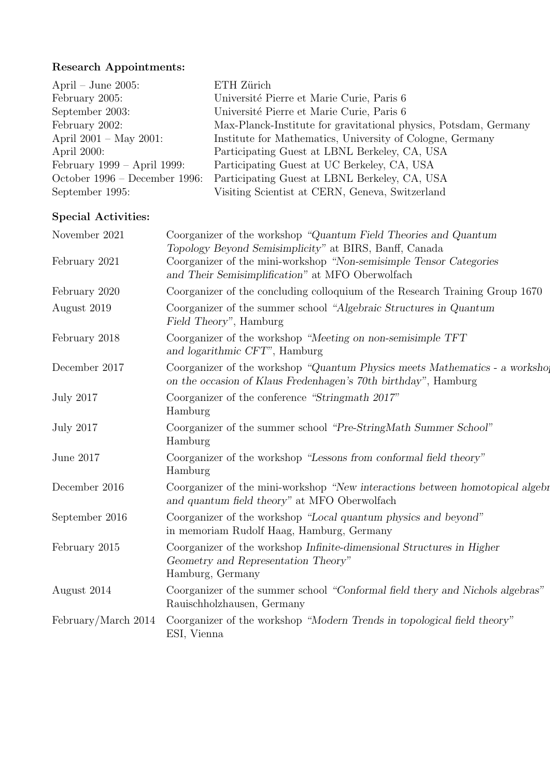## Research Appointments:

| April – June 2005:             | ETH Zürich                                                       |
|--------------------------------|------------------------------------------------------------------|
| February 2005:                 | Université Pierre et Marie Curie, Paris 6                        |
| September 2003:                | Université Pierre et Marie Curie, Paris 6                        |
| February 2002:                 | Max-Planck-Institute for gravitational physics, Potsdam, Germany |
| April $2001 - May 2001$ :      | Institute for Mathematics, University of Cologne, Germany        |
| April 2000:                    | Participating Guest at LBNL Berkeley, CA, USA                    |
| February $1999 - April 1999$ : | Participating Guest at UC Berkeley, CA, USA                      |
| October 1996 – December 1996:  | Participating Guest at LBNL Berkeley, CA, USA                    |
| September 1995:                | Visiting Scientist at CERN, Geneva, Switzerland                  |

## Special Activities:

| November 2021       | Coorganizer of the workshop "Quantum Field Theories and Quantum<br>Topology Beyond Semisimplicity" at BIRS, Banff, Canada                     |
|---------------------|-----------------------------------------------------------------------------------------------------------------------------------------------|
| February 2021       | Coorganizer of the mini-workshop "Non-semisimple Tensor Categories"<br>and Their Semisimplification" at MFO Oberwolfach                       |
| February 2020       | Coorganizer of the concluding colloquium of the Research Training Group 1670                                                                  |
| August 2019         | Coorganizer of the summer school "Algebraic Structures in Quantum"<br>Field Theory", Hamburg                                                  |
| February 2018       | Coorganizer of the workshop "Meeting on non-semisimple TFT<br>and logarithmic CFT", Hamburg                                                   |
| December 2017       | Coorganizer of the workshop "Quantum Physics meets Mathematics - a workshop<br>on the occasion of Klaus Fredenhagen's 70th birthday", Hamburg |
| <b>July 2017</b>    | Coorganizer of the conference "Stringmath 2017"<br>Hamburg                                                                                    |
| <b>July 2017</b>    | Coorganizer of the summer school "Pre-StringMath Summer School"<br>Hamburg                                                                    |
| June 2017           | Coorganizer of the workshop "Lessons from conformal field theory"<br>Hamburg                                                                  |
| December 2016       | Coorganizer of the mini-workshop "New interactions between homotopical algebr<br>and quantum field theory" at MFO Oberwolfach                 |
| September 2016      | Coorganizer of the workshop "Local quantum physics and beyond"<br>in memoriam Rudolf Haag, Hamburg, Germany                                   |
| February 2015       | Coorganizer of the workshop Infinite-dimensional Structures in Higher<br>Geometry and Representation Theory"<br>Hamburg, Germany              |
| August 2014         | Coorganizer of the summer school "Conformal field thery and Nichols algebras"<br>Rauischholzhausen, Germany                                   |
| February/March 2014 | Coorganizer of the workshop "Modern Trends in topological field theory"<br>ESI, Vienna                                                        |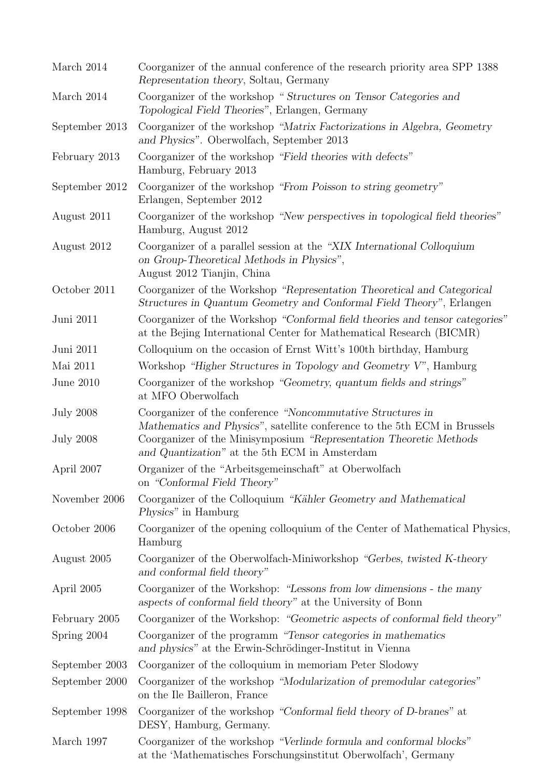| March 2014                           | Coorganizer of the annual conference of the research priority area SPP 1388<br>Representation theory, Soltau, Germany                                                                                                                                            |
|--------------------------------------|------------------------------------------------------------------------------------------------------------------------------------------------------------------------------------------------------------------------------------------------------------------|
| March 2014                           | Coorganizer of the workshop "Structures on Tensor Categories and<br>Topological Field Theories", Erlangen, Germany                                                                                                                                               |
| September 2013                       | Coorganizer of the workshop "Matrix Factorizations in Algebra, Geometry<br>and Physics". Oberwolfach, September 2013                                                                                                                                             |
| February 2013                        | Coorganizer of the workshop "Field theories with defects"<br>Hamburg, February 2013                                                                                                                                                                              |
| September 2012                       | Coorganizer of the workshop "From Poisson to string geometry"<br>Erlangen, September 2012                                                                                                                                                                        |
| August 2011                          | Coorganizer of the workshop "New perspectives in topological field theories"<br>Hamburg, August 2012                                                                                                                                                             |
| August 2012                          | Coorganizer of a parallel session at the "XIX International Colloquium"<br>on Group-Theoretical Methods in Physics",<br>August 2012 Tianjin, China                                                                                                               |
| October 2011                         | Coorganizer of the Workshop "Representation Theoretical and Categorical<br>Structures in Quantum Geometry and Conformal Field Theory", Erlangen                                                                                                                  |
| Juni 2011                            | Coorganizer of the Workshop "Conformal field theories and tensor categories"<br>at the Bejing International Center for Mathematical Research (BICMR)                                                                                                             |
| Juni 2011                            | Colloquium on the occasion of Ernst Witt's 100th birthday, Hamburg                                                                                                                                                                                               |
| Mai 2011                             | Workshop "Higher Structures in Topology and Geometry V", Hamburg                                                                                                                                                                                                 |
| June 2010                            | Coorganizer of the workshop "Geometry, quantum fields and strings"<br>at MFO Oberwolfach                                                                                                                                                                         |
| <b>July 2008</b><br><b>July 2008</b> | Coorganizer of the conference "Noncommutative Structures in<br>Mathematics and Physics", satellite conference to the 5th ECM in Brussels<br>Coorganizer of the Minisymposium "Representation Theoretic Methods"<br>and Quantization" at the 5th ECM in Amsterdam |
| April 2007                           | Organizer of the "Arbeitsgemeinschaft" at Oberwolfach<br>on "Conformal Field Theory"                                                                                                                                                                             |
| November 2006                        | Coorganizer of the Colloquium "Kähler Geometry and Mathematical<br><i>Physics</i> " in Hamburg                                                                                                                                                                   |
| October 2006                         | Coorganizer of the opening colloquium of the Center of Mathematical Physics,<br>Hamburg                                                                                                                                                                          |
| August 2005                          | Coorganizer of the Oberwolfach-Miniworkshop "Gerbes, twisted K-theory"<br>and conformal field theory"                                                                                                                                                            |
| April 2005                           | Coorganizer of the Workshop: "Lessons from low dimensions - the many<br>aspects of conformal field theory" at the University of Bonn                                                                                                                             |
| February 2005                        | Coorganizer of the Workshop: "Geometric aspects of conformal field theory"                                                                                                                                                                                       |
| Spring 2004                          | Coorganizer of the programm "Tensor categories in mathematics"<br>and physics" at the Erwin-Schrödinger-Institut in Vienna                                                                                                                                       |
| September 2003                       | Coorganizer of the colloquium in memoriam Peter Slodowy                                                                                                                                                                                                          |
| September 2000                       | Coorganizer of the workshop "Modularization of premodular categories"<br>on the Ile Bailleron, France                                                                                                                                                            |
| September 1998                       | Coorganizer of the workshop "Conformal field theory of D-branes" at<br>DESY, Hamburg, Germany.                                                                                                                                                                   |
| March 1997                           | Coorganizer of the workshop "Verlinde formula and conformal blocks"<br>at the 'Mathematisches Forschungsinstitut Oberwolfach', Germany                                                                                                                           |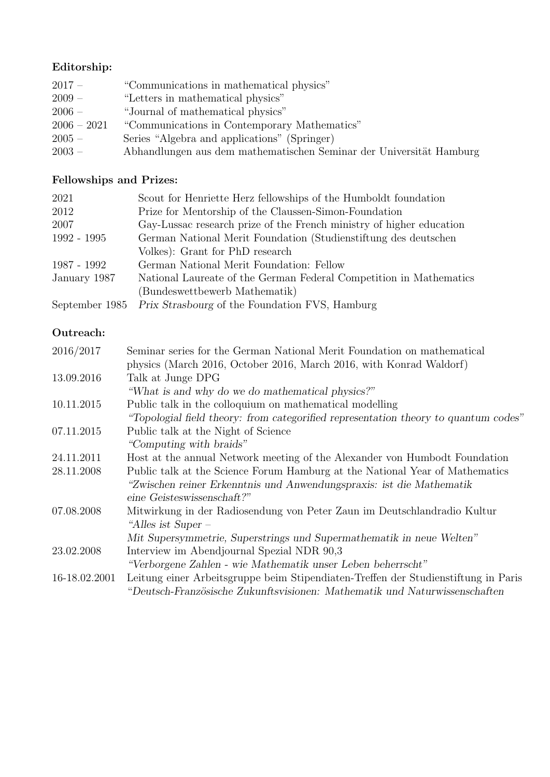## Editorship:

| $2017 -$      | "Communications in mathematical physics"                            |
|---------------|---------------------------------------------------------------------|
| $2009 -$      | "Letters in mathematical physics"                                   |
| $2006 -$      | "Journal of mathematical physics"                                   |
| $2006 - 2021$ | "Communications in Contemporary Mathematics"                        |
| $2005 -$      | Series "Algebra and applications" (Springer)                        |
| $2003 -$      | Abhandlungen aus dem mathematischen Seminar der Universität Hamburg |

# Fellowships and Prizes:

| 2021          | Scout for Henriette Herz fellowships of the Humboldt foundation      |
|---------------|----------------------------------------------------------------------|
| 2012          | Prize for Mentorship of the Claussen-Simon-Foundation                |
| 2007          | Gay-Lussac research prize of the French ministry of higher education |
| $1992 - 1995$ | German National Merit Foundation (Studienstiftung des deutschen      |
|               | Volkes): Grant for PhD research                                      |
| 1987 - 1992   | German National Merit Foundation: Fellow                             |
| January 1987  | National Laureate of the German Federal Competition in Mathematics   |
|               | (Bundeswettbewerb Mathematik)                                        |
|               | September 1985 Prix Strasbourg of the Foundation FVS, Hamburg        |

## Outreach:

| 2016/2017     | Seminar series for the German National Merit Foundation on mathematical<br>physics (March 2016, October 2016, March 2016, with Konrad Waldorf) |
|---------------|------------------------------------------------------------------------------------------------------------------------------------------------|
| 13.09.2016    | Talk at Junge DPG                                                                                                                              |
|               | "What is and why do we do mathematical physics?"                                                                                               |
| 10.11.2015    | Public talk in the colloquium on mathematical modelling                                                                                        |
|               | "Topologial field theory: from categorified representation theory to quantum codes"                                                            |
| 07.11.2015    | Public talk at the Night of Science                                                                                                            |
|               | "Computing with braids"                                                                                                                        |
| 24.11.2011    | Host at the annual Network meeting of the Alexander von Humbodt Foundation                                                                     |
| 28.11.2008    | Public talk at the Science Forum Hamburg at the National Year of Mathematics                                                                   |
|               | "Zwischen reiner Erkenntnis und Anwendungspraxis: ist die Mathematik                                                                           |
|               | eine Geisteswissenschaft?"                                                                                                                     |
| 07.08.2008    | Mitwirkung in der Radiosendung von Peter Zaun im Deutschlandradio Kultur                                                                       |
|               | "Alles ist Super -                                                                                                                             |
|               | Mit Supersymmetrie, Superstrings und Supermathematik in neue Welten"                                                                           |
| 23.02.2008    | Interview im Abendjournal Spezial NDR 90,3                                                                                                     |
|               | "Verborgene Zahlen - wie Mathematik unser Leben beherrscht"                                                                                    |
| 16-18.02.2001 | Leitung einer Arbeitsgruppe beim Stipendiaten-Treffen der Studienstiftung in Paris                                                             |
|               | "Deutsch-Französische Zukunftsvisionen: Mathematik und Naturwissenschaften                                                                     |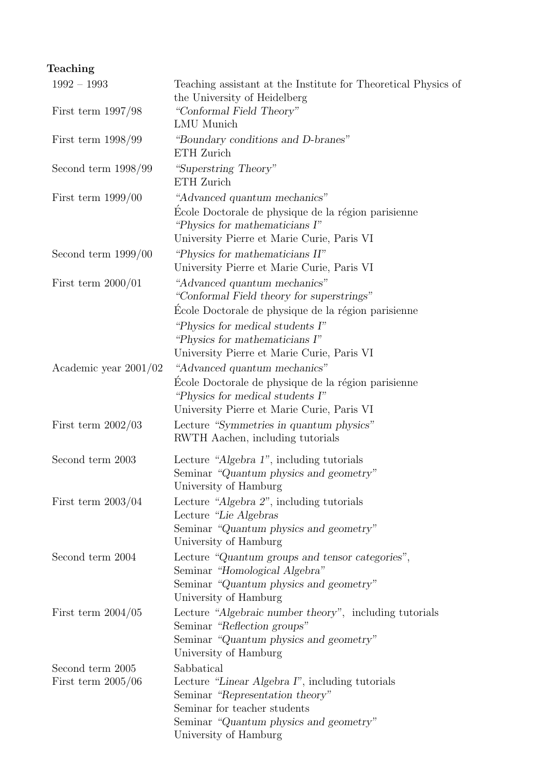# Teaching

| $1992 - 1993$                            | Teaching assistant at the Institute for Theoretical Physics of<br>the University of Heidelberg                                                                                                                                                       |
|------------------------------------------|------------------------------------------------------------------------------------------------------------------------------------------------------------------------------------------------------------------------------------------------------|
| First term $1997/98$                     | "Conformal Field Theory"<br><b>LMU</b> Munich                                                                                                                                                                                                        |
| First term $1998/99$                     | "Boundary conditions and D-branes"<br>ETH Zurich                                                                                                                                                                                                     |
| Second term $1998/99$                    | "Superstring Theory"<br>ETH Zurich                                                                                                                                                                                                                   |
| First term $1999/00$                     | "Advanced quantum mechanics"<br>École Doctorale de physique de la région parisienne<br>"Physics for mathematicians I"<br>University Pierre et Marie Curie, Paris VI                                                                                  |
| Second term $1999/00$                    | "Physics for mathematicians II"<br>University Pierre et Marie Curie, Paris VI                                                                                                                                                                        |
| First term $2000/01$                     | "Advanced quantum mechanics"<br>"Conformal Field theory for superstrings"<br>Ecole Doctorale de physique de la région parisienne<br>"Physics for medical students I"<br>"Physics for mathematicians I"<br>University Pierre et Marie Curie, Paris VI |
| Academic year $2001/02$                  | "Advanced quantum mechanics"<br>École Doctorale de physique de la région parisienne<br>"Physics for medical students I"<br>University Pierre et Marie Curie, Paris VI                                                                                |
| First term $2002/03$                     | Lecture "Symmetries in quantum physics"<br>RWTH Aachen, including tutorials                                                                                                                                                                          |
| Second term 2003                         | Lecture "Algebra 1", including tutorials<br>Seminar "Quantum physics and geometry"<br>University of Hamburg                                                                                                                                          |
| First term $2003/04$                     | Lecture "Algebra 2", including tutorials<br>Lecture "Lie Algebras<br>Seminar "Quantum physics and geometry"<br>University of Hamburg                                                                                                                 |
| Second term 2004                         | Lecture "Quantum groups and tensor categories",<br>Seminar "Homological Algebra"<br>Seminar "Quantum physics and geometry"<br>University of Hamburg                                                                                                  |
| First term $2004/05$                     | Lecture "Algebraic number theory", including tutorials<br>Seminar "Reflection groups"<br>Seminar "Quantum physics and geometry"<br>University of Hamburg                                                                                             |
| Second term 2005<br>First term $2005/06$ | Sabbatical<br>Lecture "Linear Algebra I", including tutorials<br>Seminar "Representation theory"<br>Seminar for teacher students<br>Seminar "Quantum physics and geometry"<br>University of Hamburg                                                  |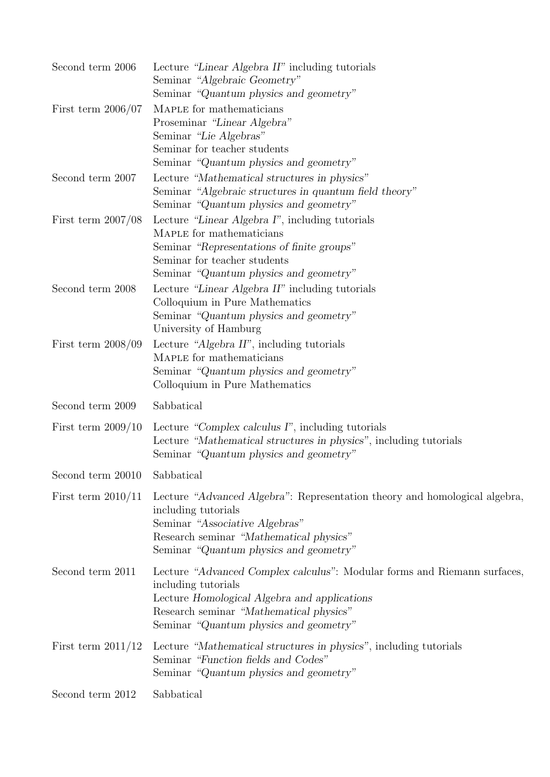| Second term 2006             | Lecture "Linear Algebra II" including tutorials<br>Seminar "Algebraic Geometry"                                                                                                                                                      |
|------------------------------|--------------------------------------------------------------------------------------------------------------------------------------------------------------------------------------------------------------------------------------|
|                              | Seminar "Quantum physics and geometry"                                                                                                                                                                                               |
| First term $2006/07$         | MAPLE for mathematicians<br>Proseminar "Linear Algebra"                                                                                                                                                                              |
|                              | Seminar "Lie Algebras"<br>Seminar for teacher students                                                                                                                                                                               |
|                              | Seminar "Quantum physics and geometry"                                                                                                                                                                                               |
| Second term 2007             | Lecture "Mathematical structures in physics"<br>Seminar "Algebraic structures in quantum field theory"<br>Seminar "Quantum physics and geometry"                                                                                     |
| First term $2007/08$         | Lecture "Linear Algebra I", including tutorials<br>MAPLE for mathematicians<br>Seminar "Representations of finite groups"                                                                                                            |
|                              | Seminar for teacher students                                                                                                                                                                                                         |
|                              | Seminar "Quantum physics and geometry"                                                                                                                                                                                               |
| Second term 2008             | Lecture "Linear Algebra II" including tutorials                                                                                                                                                                                      |
|                              | Colloquium in Pure Mathematics<br>Seminar "Quantum physics and geometry"                                                                                                                                                             |
|                              | University of Hamburg                                                                                                                                                                                                                |
| First term $2008/09$         | Lecture "Algebra II", including tutorials                                                                                                                                                                                            |
|                              | MAPLE for mathematicians                                                                                                                                                                                                             |
|                              | Seminar "Quantum physics and geometry"                                                                                                                                                                                               |
|                              | Colloquium in Pure Mathematics                                                                                                                                                                                                       |
| Second term 2009             | Sabbatical                                                                                                                                                                                                                           |
| First term $2009/10$         | Lecture "Complex calculus I", including tutorials<br>Lecture "Mathematical structures in physics", including tutorials<br>Seminar "Quantum physics and geometry"                                                                     |
| Second term 20010 Sabbatical |                                                                                                                                                                                                                                      |
| First term $2010/11$         | Lecture "Advanced Algebra": Representation theory and homological algebra,<br>including tutorials<br>Seminar "Associative Algebras"<br>Research seminar "Mathematical physics"<br>Seminar "Quantum physics and geometry"             |
| Second term 2011             | Lecture "Advanced Complex calculus": Modular forms and Riemann surfaces,<br>including tutorials<br>Lecture Homological Algebra and applications<br>Research seminar "Mathematical physics"<br>Seminar "Quantum physics and geometry" |
| First term $2011/12$         | Lecture "Mathematical structures in physics", including tutorials<br>Seminar "Function fields and Codes"<br>Seminar "Quantum physics and geometry"                                                                                   |
| Second term 2012             | Sabbatical                                                                                                                                                                                                                           |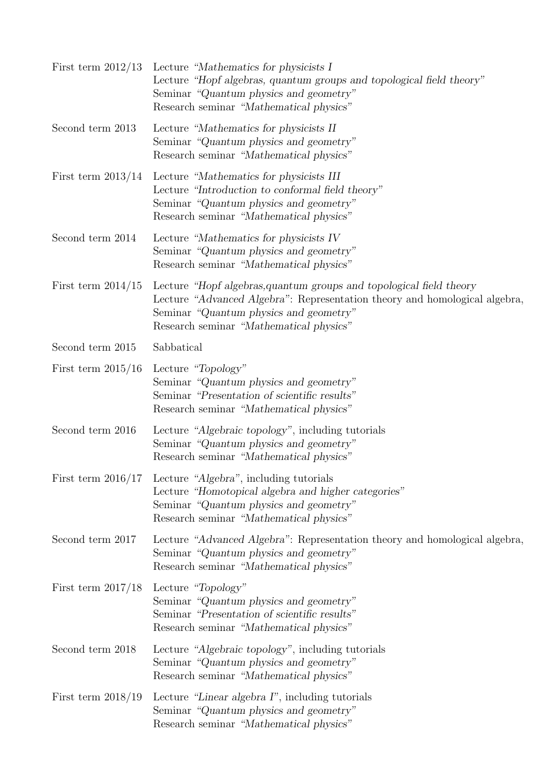| First term $2012/13$ | Lecture "Mathematics for physicists I<br>Lecture "Hopf algebras, quantum groups and topological field theory"<br>Seminar "Quantum physics and geometry"<br>Research seminar "Mathematical physics"                                     |
|----------------------|----------------------------------------------------------------------------------------------------------------------------------------------------------------------------------------------------------------------------------------|
| Second term 2013     | Lecture "Mathematics for physicists II<br>Seminar "Quantum physics and geometry"<br>Research seminar "Mathematical physics"                                                                                                            |
| First term $2013/14$ | Lecture "Mathematics for physicists III<br>Lecture "Introduction to conformal field theory"<br>Seminar "Quantum physics and geometry"<br>Research seminar "Mathematical physics"                                                       |
| Second term 2014     | Lecture "Mathematics for physicists IV<br>Seminar "Quantum physics and geometry"<br>Research seminar "Mathematical physics"                                                                                                            |
| First term $2014/15$ | Lecture "Hopf algebras, quantum groups and topological field theory<br>Lecture "Advanced Algebra": Representation theory and homological algebra,<br>Seminar "Quantum physics and geometry"<br>Research seminar "Mathematical physics" |
| Second term 2015     | Sabbatical                                                                                                                                                                                                                             |
| First term $2015/16$ | Lecture "Topology"<br>Seminar "Quantum physics and geometry"<br>Seminar "Presentation of scientific results"<br>Research seminar "Mathematical physics"                                                                                |
| Second term 2016     | Lecture "Algebraic topology", including tutorials<br>Seminar "Quantum physics and geometry"<br>Research seminar "Mathematical physics"                                                                                                 |
| First term $2016/17$ | Lecture "Algebra", including tutorials<br>Lecture "Homotopical algebra and higher categories"<br>Seminar "Quantum physics and geometry"<br>Research seminar "Mathematical physics"                                                     |
| Second term 2017     | Lecture "Advanced Algebra": Representation theory and homological algebra,<br>Seminar "Quantum physics and geometry"<br>Research seminar "Mathematical physics"                                                                        |
| First term $2017/18$ | Lecture "Topology"<br>Seminar "Quantum physics and geometry"<br>Seminar "Presentation of scientific results"<br>Research seminar "Mathematical physics"                                                                                |
| Second term 2018     | Lecture "Algebraic topology", including tutorials<br>Seminar "Quantum physics and geometry"<br>Research seminar "Mathematical physics"                                                                                                 |
| First term $2018/19$ | Lecture "Linear algebra I", including tutorials<br>Seminar "Quantum physics and geometry"<br>Research seminar "Mathematical physics"                                                                                                   |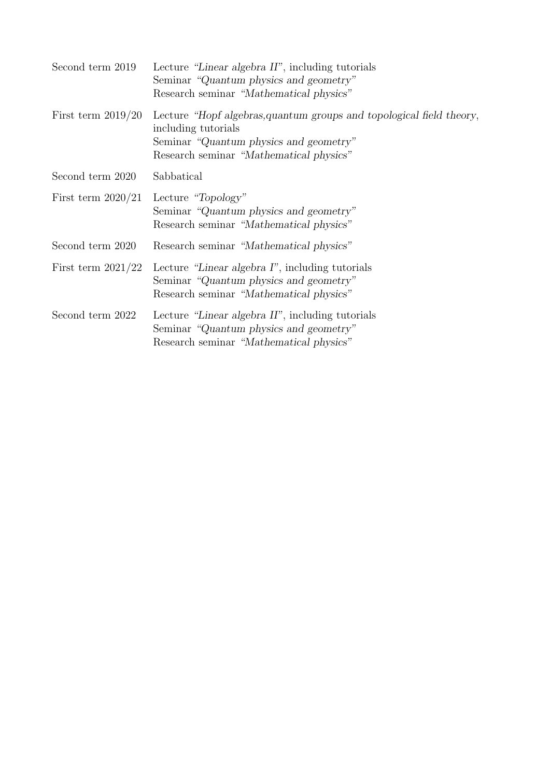| Second term 2019     | Lecture "Linear algebra II", including tutorials<br>Seminar "Quantum physics and geometry"<br>Research seminar "Mathematical physics"                                            |
|----------------------|----------------------------------------------------------------------------------------------------------------------------------------------------------------------------------|
| First term $2019/20$ | Lecture "Hopf algebras, quantum groups and topological field theory,<br>including tutorials<br>Seminar "Quantum physics and geometry"<br>Research seminar "Mathematical physics" |
| Second term 2020     | Sabbatical                                                                                                                                                                       |
| First term $2020/21$ | Lecture "Topology"<br>Seminar "Quantum physics and geometry"<br>Research seminar "Mathematical physics"                                                                          |
| Second term 2020     | Research seminar "Mathematical physics"                                                                                                                                          |
| First term $2021/22$ | Lecture "Linear algebra I", including tutorials<br>Seminar "Quantum physics and geometry"<br>Research seminar "Mathematical physics"                                             |
| Second term 2022     | Lecture "Linear algebra II", including tutorials<br>Seminar "Quantum physics and geometry"<br>Research seminar "Mathematical physics"                                            |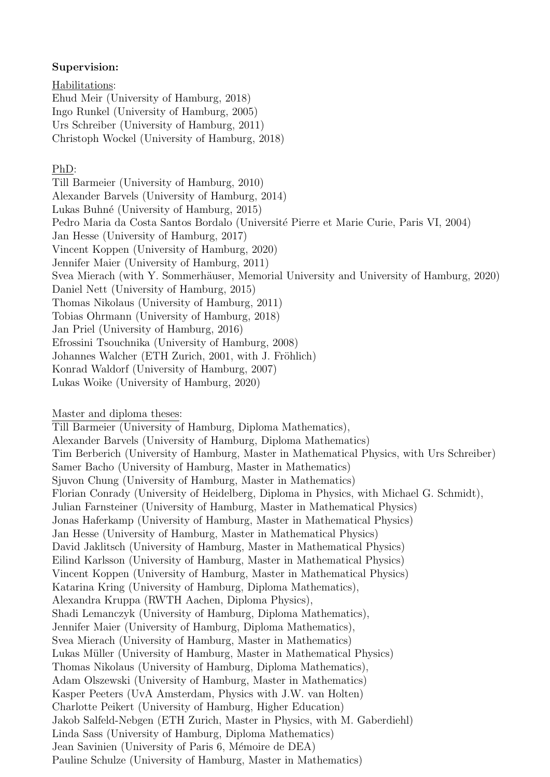#### Supervision:

Habilitations: Ehud Meir (University of Hamburg, 2018) Ingo Runkel (University of Hamburg, 2005) Urs Schreiber (University of Hamburg, 2011) Christoph Wockel (University of Hamburg, 2018)

#### PhD:

Till Barmeier (University of Hamburg, 2010) Alexander Barvels (University of Hamburg, 2014) Lukas Buhn´e (University of Hamburg, 2015) Pedro Maria da Costa Santos Bordalo (Université Pierre et Marie Curie, Paris VI, 2004) Jan Hesse (University of Hamburg, 2017) Vincent Koppen (University of Hamburg, 2020) Jennifer Maier (University of Hamburg, 2011) Svea Mierach (with Y. Sommerhäuser, Memorial University and University of Hamburg, 2020) Daniel Nett (University of Hamburg, 2015) Thomas Nikolaus (University of Hamburg, 2011) Tobias Ohrmann (University of Hamburg, 2018) Jan Priel (University of Hamburg, 2016) Efrossini Tsouchnika (University of Hamburg, 2008) Johannes Walcher (ETH Zurich, 2001, with J. Fröhlich) Konrad Waldorf (University of Hamburg, 2007) Lukas Woike (University of Hamburg, 2020)

Master and diploma theses:

Till Barmeier (University of Hamburg, Diploma Mathematics), Alexander Barvels (University of Hamburg, Diploma Mathematics) Tim Berberich (University of Hamburg, Master in Mathematical Physics, with Urs Schreiber) Samer Bacho (University of Hamburg, Master in Mathematics) Sjuvon Chung (University of Hamburg, Master in Mathematics) Florian Conrady (University of Heidelberg, Diploma in Physics, with Michael G. Schmidt), Julian Farnsteiner (University of Hamburg, Master in Mathematical Physics) Jonas Haferkamp (University of Hamburg, Master in Mathematical Physics) Jan Hesse (University of Hamburg, Master in Mathematical Physics) David Jaklitsch (University of Hamburg, Master in Mathematical Physics) Eilind Karlsson (University of Hamburg, Master in Mathematical Physics) Vincent Koppen (University of Hamburg, Master in Mathematical Physics) Katarina Kring (University of Hamburg, Diploma Mathematics), Alexandra Kruppa (RWTH Aachen, Diploma Physics), Shadi Lemanczyk (University of Hamburg, Diploma Mathematics), Jennifer Maier (University of Hamburg, Diploma Mathematics), Svea Mierach (University of Hamburg, Master in Mathematics) Lukas Müller (University of Hamburg, Master in Mathematical Physics) Thomas Nikolaus (University of Hamburg, Diploma Mathematics), Adam Olszewski (University of Hamburg, Master in Mathematics) Kasper Peeters (UvA Amsterdam, Physics with J.W. van Holten) Charlotte Peikert (University of Hamburg, Higher Education) Jakob Salfeld-Nebgen (ETH Zurich, Master in Physics, with M. Gaberdiehl) Linda Sass (University of Hamburg, Diploma Mathematics) Jean Savinien (University of Paris 6, Mémoire de DEA) Pauline Schulze (University of Hamburg, Master in Mathematics)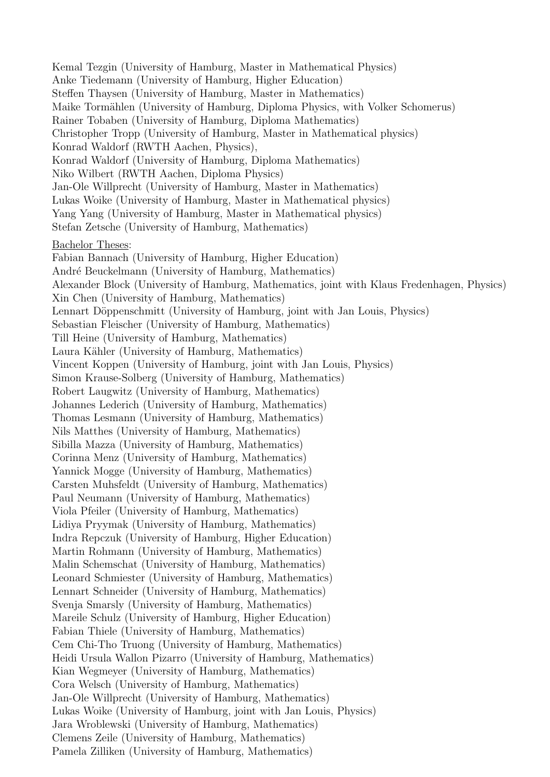Kemal Tezgin (University of Hamburg, Master in Mathematical Physics) Anke Tiedemann (University of Hamburg, Higher Education) Steffen Thaysen (University of Hamburg, Master in Mathematics) Maike Tormählen (University of Hamburg, Diploma Physics, with Volker Schomerus) Rainer Tobaben (University of Hamburg, Diploma Mathematics) Christopher Tropp (University of Hamburg, Master in Mathematical physics) Konrad Waldorf (RWTH Aachen, Physics), Konrad Waldorf (University of Hamburg, Diploma Mathematics) Niko Wilbert (RWTH Aachen, Diploma Physics) Jan-Ole Willprecht (University of Hamburg, Master in Mathematics) Lukas Woike (University of Hamburg, Master in Mathematical physics) Yang Yang (University of Hamburg, Master in Mathematical physics) Stefan Zetsche (University of Hamburg, Mathematics) Bachelor Theses: Fabian Bannach (University of Hamburg, Higher Education) André Beuckelmann (University of Hamburg, Mathematics) Alexander Block (University of Hamburg, Mathematics, joint with Klaus Fredenhagen, Physics) Xin Chen (University of Hamburg, Mathematics) Lennart Döppenschmitt (University of Hamburg, joint with Jan Louis, Physics) Sebastian Fleischer (University of Hamburg, Mathematics) Till Heine (University of Hamburg, Mathematics) Laura Kähler (University of Hamburg, Mathematics) Vincent Koppen (University of Hamburg, joint with Jan Louis, Physics) Simon Krause-Solberg (University of Hamburg, Mathematics) Robert Laugwitz (University of Hamburg, Mathematics) Johannes Lederich (University of Hamburg, Mathematics) Thomas Lesmann (University of Hamburg, Mathematics) Nils Matthes (University of Hamburg, Mathematics) Sibilla Mazza (University of Hamburg, Mathematics) Corinna Menz (University of Hamburg, Mathematics) Yannick Mogge (University of Hamburg, Mathematics) Carsten Muhsfeldt (University of Hamburg, Mathematics) Paul Neumann (University of Hamburg, Mathematics) Viola Pfeiler (University of Hamburg, Mathematics) Lidiya Pryymak (University of Hamburg, Mathematics) Indra Repczuk (University of Hamburg, Higher Education) Martin Rohmann (University of Hamburg, Mathematics) Malin Schemschat (University of Hamburg, Mathematics) Leonard Schmiester (University of Hamburg, Mathematics) Lennart Schneider (University of Hamburg, Mathematics) Svenja Smarsly (University of Hamburg, Mathematics) Mareile Schulz (University of Hamburg, Higher Education) Fabian Thiele (University of Hamburg, Mathematics) Cem Chi-Tho Truong (University of Hamburg, Mathematics) Heidi Ursula Wallon Pizarro (University of Hamburg, Mathematics) Kian Wegmeyer (University of Hamburg, Mathematics) Cora Welsch (University of Hamburg, Mathematics) Jan-Ole Willprecht (University of Hamburg, Mathematics) Lukas Woike (University of Hamburg, joint with Jan Louis, Physics) Jara Wroblewski (University of Hamburg, Mathematics) Clemens Zeile (University of Hamburg, Mathematics) Pamela Zilliken (University of Hamburg, Mathematics)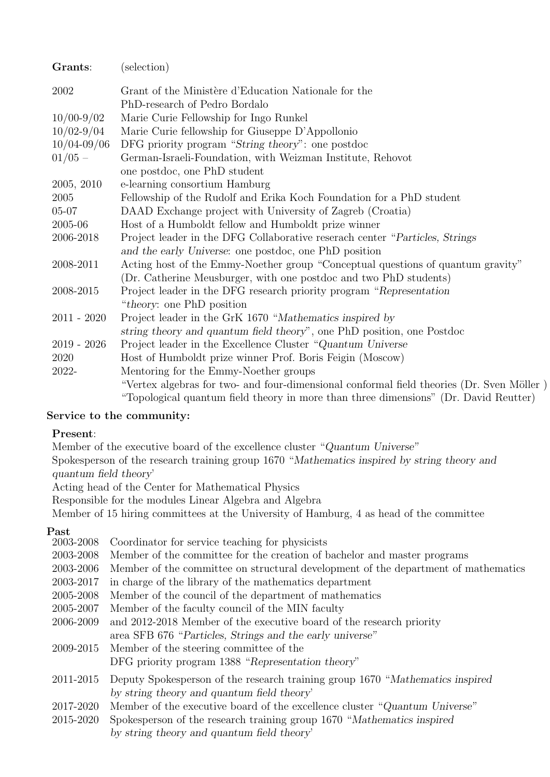| Grants:         | (selection)                                                                               |
|-----------------|-------------------------------------------------------------------------------------------|
| 2002            | Grant of the Ministère d'Education Nationale for the                                      |
|                 | PhD-research of Pedro Bordalo                                                             |
| $10/00-9/02$    | Marie Curie Fellowship for Ingo Runkel                                                    |
| $10/02 - 9/04$  | Marie Curie fellowship for Giuseppe D'Appollonio                                          |
| $10/04 - 09/06$ | DFG priority program "String theory": one postdoc                                         |
| $01/05 -$       | German-Israeli-Foundation, with Weizman Institute, Rehovot                                |
|                 | one postdoc, one PhD student                                                              |
| 2005, 2010      | e-learning consortium Hamburg                                                             |
| 2005            | Fellowship of the Rudolf and Erika Koch Foundation for a PhD student                      |
| $05 - 07$       | DAAD Exchange project with University of Zagreb (Croatia)                                 |
| 2005-06         | Host of a Humboldt fellow and Humboldt prize winner                                       |
| 2006-2018       | Project leader in the DFG Collaborative reserach center "Particles, Strings"              |
|                 | and the early Universe: one postdoc, one PhD position                                     |
| 2008-2011       | Acting host of the Emmy-Noether group "Conceptual questions of quantum gravity"           |
|                 | (Dr. Catherine Meusburger, with one postdoc and two PhD students)                         |
| 2008-2015       | Project leader in the DFG research priority program "Representation                       |
|                 | "theory: one PhD position"                                                                |
| $2011 - 2020$   | Project leader in the GrK 1670 "Mathematics inspired by                                   |
|                 | string theory and quantum field theory", one PhD position, one Postdoc                    |
| $2019 - 2026$   | Project leader in the Excellence Cluster "Quantum Universe"                               |
| 2020            | Host of Humboldt prize winner Prof. Boris Feigin (Moscow)                                 |
| 2022-           | Mentoring for the Emmy-Noether groups                                                     |
|                 | "Vertex algebras for two- and four-dimensional conformal field theories (Dr. Sven Möller) |
|                 | "Topological quantum field theory in more than three dimensions" (Dr. David Reutter)      |

### Service to the community:

### Present:

Member of the executive board of the excellence cluster "Quantum Universe" Spokesperson of the research training group 1670 "Mathematics inspired by string theory and quantum field theory' Acting head of the Center for Mathematical Physics

Responsible for the modules Linear Algebra and Algebra

Member of 15 hiring committees at the University of Hamburg, 4 as head of the committee

Past

| 2003-2008 | Coordinator for service teaching for physicists                                    |
|-----------|------------------------------------------------------------------------------------|
| 2003-2008 | Member of the committee for the creation of bachelor and master programs           |
| 2003-2006 | Member of the committee on structural development of the department of mathematics |
| 2003-2017 | in charge of the library of the mathematics department                             |
| 2005-2008 | Member of the council of the department of mathematics                             |
| 2005-2007 | Member of the faculty council of the MIN faculty                                   |
| 2006-2009 | and 2012-2018 Member of the executive board of the research priority               |
|           | area SFB 676 "Particles, Strings and the early universe"                           |
| 2009-2015 | Member of the steering committee of the                                            |
|           | DFG priority program 1388 "Representation theory"                                  |
| 2011-2015 | Deputy Spokesperson of the research training group 1670 "Mathematics inspired      |
|           | by string theory and quantum field theory'                                         |
| 2017-2020 | Member of the executive board of the excellence cluster "Quantum Universe"         |
| 2015-2020 | Spokesperson of the research training group 1670 "Mathematics inspired             |
|           | by string theory and quantum field theory'                                         |
|           |                                                                                    |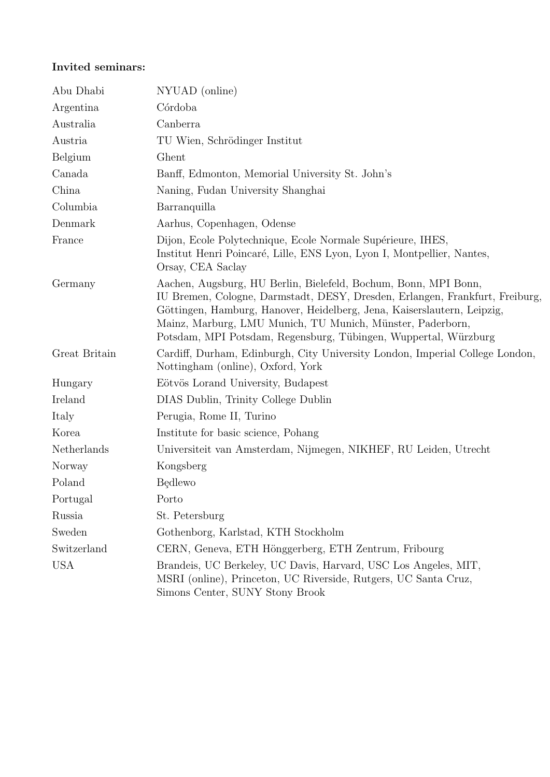## Invited seminars:

| Abu Dhabi     | NYUAD (online)                                                                                                                                                                                                                                                                                                                                              |
|---------------|-------------------------------------------------------------------------------------------------------------------------------------------------------------------------------------------------------------------------------------------------------------------------------------------------------------------------------------------------------------|
| Argentina     | Córdoba                                                                                                                                                                                                                                                                                                                                                     |
| Australia     | Canberra                                                                                                                                                                                                                                                                                                                                                    |
| Austria       | TU Wien, Schrödinger Institut                                                                                                                                                                                                                                                                                                                               |
| Belgium       | Ghent                                                                                                                                                                                                                                                                                                                                                       |
| Canada        | Banff, Edmonton, Memorial University St. John's                                                                                                                                                                                                                                                                                                             |
| China         | Naning, Fudan University Shanghai                                                                                                                                                                                                                                                                                                                           |
| Columbia      | Barranquilla                                                                                                                                                                                                                                                                                                                                                |
| Denmark       | Aarhus, Copenhagen, Odense                                                                                                                                                                                                                                                                                                                                  |
| France        | Dijon, Ecole Polytechnique, Ecole Normale Supérieure, IHES,<br>Institut Henri Poincaré, Lille, ENS Lyon, Lyon I, Montpellier, Nantes,<br>Orsay, CEA Saclay                                                                                                                                                                                                  |
| Germany       | Aachen, Augsburg, HU Berlin, Bielefeld, Bochum, Bonn, MPI Bonn,<br>IU Bremen, Cologne, Darmstadt, DESY, Dresden, Erlangen, Frankfurt, Freiburg,<br>Göttingen, Hamburg, Hanover, Heidelberg, Jena, Kaiserslautern, Leipzig,<br>Mainz, Marburg, LMU Munich, TU Munich, Münster, Paderborn,<br>Potsdam, MPI Potsdam, Regensburg, Tübingen, Wuppertal, Würzburg |
| Great Britain | Cardiff, Durham, Edinburgh, City University London, Imperial College London,<br>Nottingham (online), Oxford, York                                                                                                                                                                                                                                           |
| Hungary       | Eötvös Lorand University, Budapest                                                                                                                                                                                                                                                                                                                          |
| Ireland       | DIAS Dublin, Trinity College Dublin                                                                                                                                                                                                                                                                                                                         |
| Italy         | Perugia, Rome II, Turino                                                                                                                                                                                                                                                                                                                                    |
| Korea         | Institute for basic science, Pohang                                                                                                                                                                                                                                                                                                                         |
| Netherlands   | Universiteit van Amsterdam, Nijmegen, NIKHEF, RU Leiden, Utrecht                                                                                                                                                                                                                                                                                            |
| Norway        | Kongsberg                                                                                                                                                                                                                                                                                                                                                   |
| Poland        | <b>Bedlewo</b>                                                                                                                                                                                                                                                                                                                                              |
| Portugal      | Porto                                                                                                                                                                                                                                                                                                                                                       |
| Russia        | St. Petersburg                                                                                                                                                                                                                                                                                                                                              |
| Sweden        | Gothenborg, Karlstad, KTH Stockholm                                                                                                                                                                                                                                                                                                                         |
| Switzerland   | CERN, Geneva, ETH Hönggerberg, ETH Zentrum, Fribourg                                                                                                                                                                                                                                                                                                        |
| <b>USA</b>    | Brandeis, UC Berkeley, UC Davis, Harvard, USC Los Angeles, MIT,<br>MSRI (online), Princeton, UC Riverside, Rutgers, UC Santa Cruz,<br>Simons Center, SUNY Stony Brook                                                                                                                                                                                       |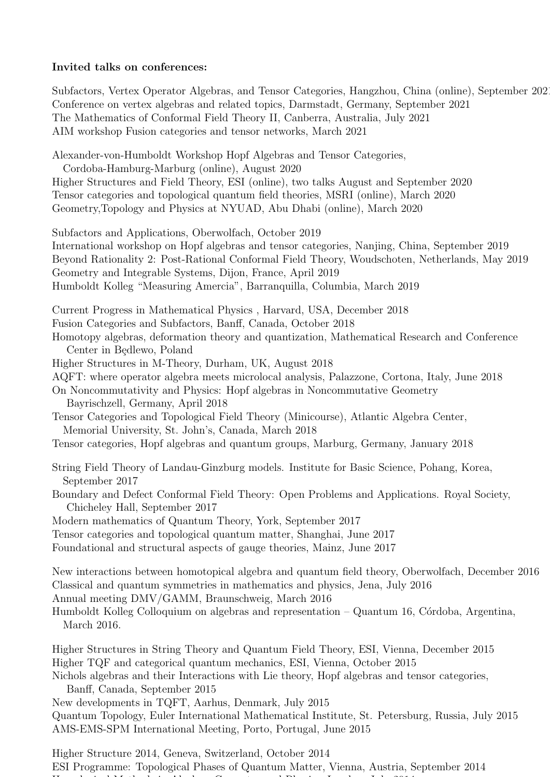#### Invited talks on conferences:

Subfactors, Vertex Operator Algebras, and Tensor Categories, Hangzhou, China (online), September 2021 Conference on vertex algebras and related topics, Darmstadt, Germany, September 2021 The Mathematics of Conformal Field Theory II, Canberra, Australia, July 2021 AIM workshop Fusion categories and tensor networks, March 2021

Alexander-von-Humboldt Workshop Hopf Algebras and Tensor Categories, Cordoba-Hamburg-Marburg (online), August 2020 Higher Structures and Field Theory, ESI (online), two talks August and September 2020 Tensor categories and topological quantum field theories, MSRI (online), March 2020 Geometry,Topology and Physics at NYUAD, Abu Dhabi (online), March 2020 Subfactors and Applications, Oberwolfach, October 2019 International workshop on Hopf algebras and tensor categories, Nanjing, China, September 2019 Beyond Rationality 2: Post-Rational Conformal Field Theory, Woudschoten, Netherlands, May 2019 Geometry and Integrable Systems, Dijon, France, April 2019 Humboldt Kolleg "Measuring Amercia", Barranquilla, Columbia, March 2019 Current Progress in Mathematical Physics , Harvard, USA, December 2018 Fusion Categories and Subfactors, Banff, Canada, October 2018 Homotopy algebras, deformation theory and quantization, Mathematical Research and Conference Center in Bedlewo, Poland Higher Structures in M-Theory, Durham, UK, August 2018 AQFT: where operator algebra meets microlocal analysis, Palazzone, Cortona, Italy, June 2018 On Noncommutativity and Physics: Hopf algebras in Noncommutative Geometry Bayrischzell, Germany, April 2018 Tensor Categories and Topological Field Theory (Minicourse), Atlantic Algebra Center, Memorial University, St. John's, Canada, March 2018 Tensor categories, Hopf algebras and quantum groups, Marburg, Germany, January 2018 String Field Theory of Landau-Ginzburg models. Institute for Basic Science, Pohang, Korea, September 2017 Boundary and Defect Conformal Field Theory: Open Problems and Applications. Royal Society, Chicheley Hall, September 2017 Modern mathematics of Quantum Theory, York, September 2017 Tensor categories and topological quantum matter, Shanghai, June 2017 Foundational and structural aspects of gauge theories, Mainz, June 2017 New interactions between homotopical algebra and quantum field theory, Oberwolfach, December 2016 Classical and quantum symmetries in mathematics and physics, Jena, July 2016 Annual meeting DMV/GAMM, Braunschweig, March 2016 Humboldt Kolleg Colloquium on algebras and representation  $-$  Quantum 16, Córdoba, Argentina, March 2016. Higher Structures in String Theory and Quantum Field Theory, ESI, Vienna, December 2015 Higher TQF and categorical quantum mechanics, ESI, Vienna, October 2015 Nichols algebras and their Interactions with Lie theory, Hopf algebras and tensor categories, Banff, Canada, September 2015 New developments in TQFT, Aarhus, Denmark, July 2015

Quantum Topology, Euler International Mathematical Institute, St. Petersburg, Russia, July 2015 AMS-EMS-SPM International Meeting, Porto, Portugal, June 2015

Higher Structure 2014, Geneva, Switzerland, October 2014 ESI Programme: Topological Phases of Quantum Matter, Vienna, Austria, September 2014 Homological Methods in Algebra, Geometry and Physics, London, July 2014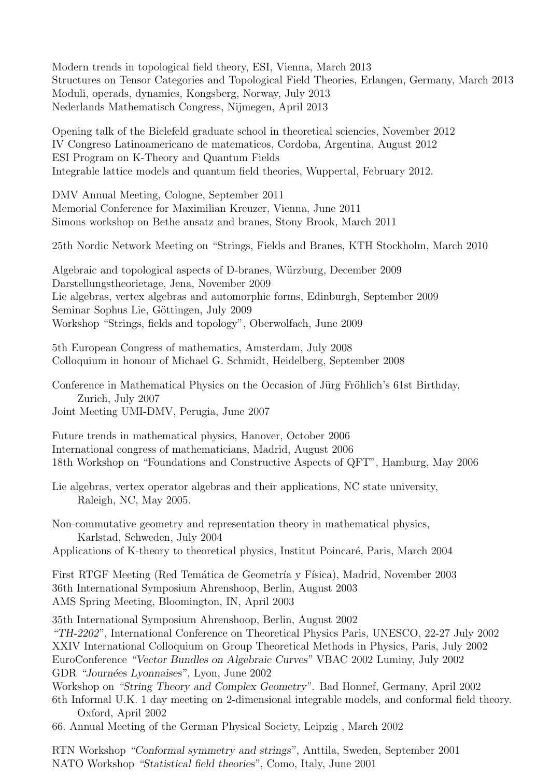Modern trends in topological field theory, ESI, Vienna, March 2013 Structures on Tensor Categories and Topological Field Theories, Erlangen, Germany, March 2013 Moduli, operads, dynamics, Kongsberg, Norway, July 2013 Nederlands Mathematisch Congress, Nijmegen, April 2013

Opening talk of the Bielefeld graduate school in theoretical sciencies, November 2012 IV Congreso Latinoamericano de matematicos, Cordoba, Argentina, August 2012 ESI Program on K-Theory and Quantum Fields Integrable lattice models and quantum field theories, Wuppertal, February 2012.

DMV Annual Meeting, Cologne, September 2011 Memorial Conference for Maximilian Kreuzer, Vienna, June 2011 Simons workshop on Bethe ansatz and branes, Stony Brook, March 2011

25th Nordic Network Meeting on "Strings, Fields and Branes, KTH Stockholm, March 2010

Algebraic and topological aspects of D-branes, Würzburg, December 2009 Darstellungstheorietage, Jena, November 2009 Lie algebras, vertex algebras and automorphic forms, Edinburgh, September 2009 Seminar Sophus Lie, Göttingen, July 2009 Workshop "Strings, fields and topology", Oberwolfach, June 2009

5th European Congress of mathematics, Amsterdam, July 2008 Colloquium in honour of Michael G. Schmidt, Heidelberg, September 2008

Conference in Mathematical Physics on the Occasion of Jürg Fröhlich's 61st Birthday, Zurich, July 2007 Joint Meeting UMI-DMV, Perugia, June 2007

Future trends in mathematical physics, Hanover, October 2006 International congress of mathematicians, Madrid, August 2006 18th Workshop on "Foundations and Constructive Aspects of QFT", Hamburg, May 2006

Lie algebras, vertex operator algebras and their applications, NC state university, Raleigh, NC, May 2005.

Non-commutative geometry and representation theory in mathematical physics, Karlstad, Schweden, July 2004

Applications of K-theory to theoretical physics, Institut Poincaré, Paris, March 2004

First RTGF Meeting (Red Temática de Geometría y Física), Madrid, November 2003 36th International Symposium Ahrenshoop, Berlin, August 2003 AMS Spring Meeting, Bloomington, IN, April 2003

35th International Symposium Ahrenshoop, Berlin, August 2002

"TH-2202", International Conference on Theoretical Physics Paris, UNESCO, 22-27 July 2002 XXIV International Colloquium on Group Theoretical Methods in Physics, Paris, July 2002 EuroConference "Vector Bundles on Algebraic Curves" VBAC 2002 Luminy, July 2002 GDR "Journées Lyonnaises", Lyon, June 2002

Workshop on "String Theory and Complex Geometry". Bad Honnef, Germany, April 2002 6th Informal U.K. 1 day meeting on 2-dimensional integrable models, and conformal field theory. Oxford, April 2002

66. Annual Meeting of the German Physical Society, Leipzig , March 2002

RTN Workshop "Conformal symmetry and strings", Anttila, Sweden, September 2001 NATO Workshop "Statistical field theories", Como, Italy, June 2001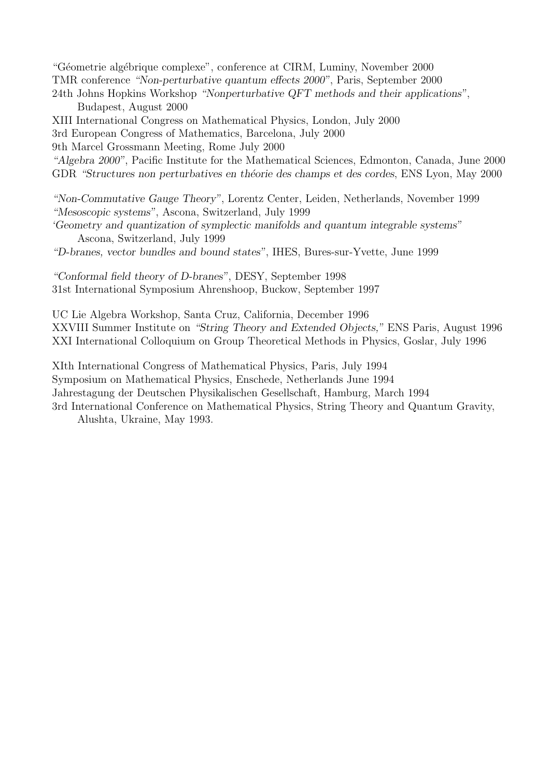"Géometrie algébrique complexe", conference at CIRM, Luminy, November 2000 TMR conference "Non-perturbative quantum effects 2000", Paris, September 2000 24th Johns Hopkins Workshop "Nonperturbative QFT methods and their applications", Budapest, August 2000

XIII International Congress on Mathematical Physics, London, July 2000

3rd European Congress of Mathematics, Barcelona, July 2000

9th Marcel Grossmann Meeting, Rome July 2000

"Algebra 2000", Pacific Institute for the Mathematical Sciences, Edmonton, Canada, June 2000 GDR "Structures non perturbatives en théorie des champs et des cordes, ENS Lyon, May 2000

"Non-Commutative Gauge Theory", Lorentz Center, Leiden, Netherlands, November 1999 "Mesoscopic systems", Ascona, Switzerland, July 1999

'Geometry and quantization of symplectic manifolds and quantum integrable systems" Ascona, Switzerland, July 1999

"D-branes, vector bundles and bound states", IHES, Bures-sur-Yvette, June 1999

"Conformal field theory of D-branes", DESY, September 1998 31st International Symposium Ahrenshoop, Buckow, September 1997

UC Lie Algebra Workshop, Santa Cruz, California, December 1996 XXVIII Summer Institute on "String Theory and Extended Objects," ENS Paris, August 1996 XXI International Colloquium on Group Theoretical Methods in Physics, Goslar, July 1996

XIth International Congress of Mathematical Physics, Paris, July 1994 Symposium on Mathematical Physics, Enschede, Netherlands June 1994 Jahrestagung der Deutschen Physikalischen Gesellschaft, Hamburg, March 1994 3rd International Conference on Mathematical Physics, String Theory and Quantum Gravity,

Alushta, Ukraine, May 1993.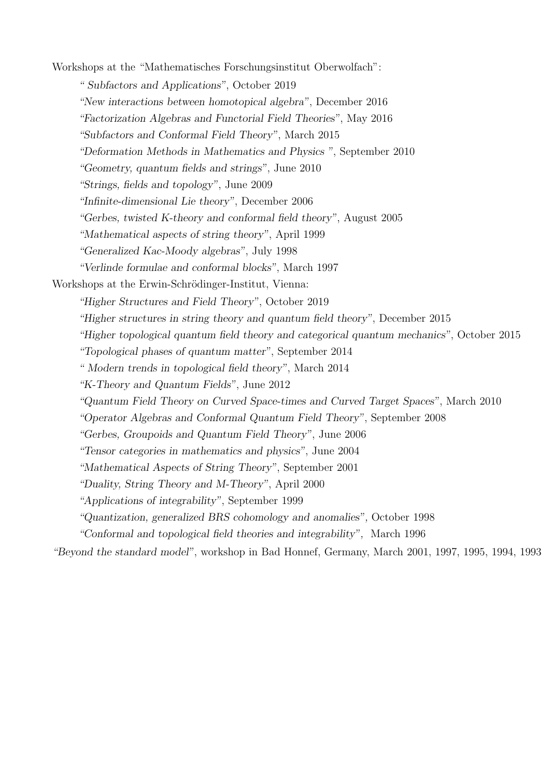Workshops at the "Mathematisches Forschungsinstitut Oberwolfach": " Subfactors and Applications", October 2019 "New interactions between homotopical algebra", December 2016 "Factorization Algebras and Functorial Field Theories", May 2016 "Subfactors and Conformal Field Theory", March 2015 "Deformation Methods in Mathematics and Physics ", September 2010 "Geometry, quantum fields and strings", June 2010 "Strings, fields and topology", June 2009 "Infinite-dimensional Lie theory", December 2006 "Gerbes, twisted K-theory and conformal field theory", August 2005 "Mathematical aspects of string theory", April 1999 "Generalized Kac-Moody algebras", July 1998 "Verlinde formulae and conformal blocks", March 1997 Workshops at the Erwin-Schrödinger-Institut, Vienna: "Higher Structures and Field Theory", October 2019 "Higher structures in string theory and quantum field theory", December 2015 "Higher topological quantum field theory and categorical quantum mechanics", October 2015 "Topological phases of quantum matter", September 2014 " Modern trends in topological field theory", March 2014 "K-Theory and Quantum Fields", June 2012 "Quantum Field Theory on Curved Space-times and Curved Target Spaces", March 2010 "Operator Algebras and Conformal Quantum Field Theory", September 2008 "Gerbes, Groupoids and Quantum Field Theory", June 2006 "Tensor categories in mathematics and physics", June 2004 "Mathematical Aspects of String Theory", September 2001 "Duality, String Theory and M-Theory", April 2000 "Applications of integrability", September 1999 "Quantization, generalized BRS cohomology and anomalies", October 1998 "Conformal and topological field theories and integrability", March 1996

"Beyond the standard model", workshop in Bad Honnef, Germany, March 2001, 1997, 1995, 1994, 1993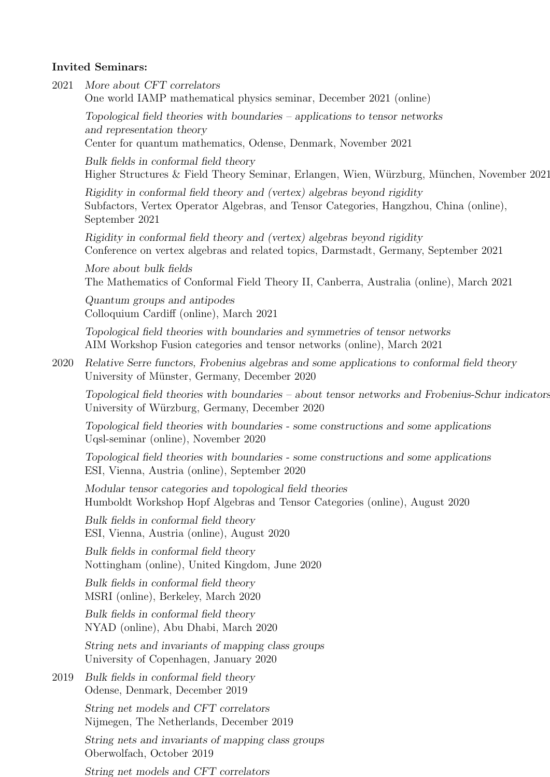#### Invited Seminars:

2021 More about CFT correlators One world IAMP mathematical physics seminar, December 2021 (online)

Topological field theories with boundaries – applications to tensor networks and representation theory Center for quantum mathematics, Odense, Denmark, November 2021

Bulk fields in conformal field theory Higher Structures & Field Theory Seminar, Erlangen, Wien, Würzburg, München, November 2021

Rigidity in conformal field theory and (vertex) algebras beyond rigidity Subfactors, Vertex Operator Algebras, and Tensor Categories, Hangzhou, China (online), September 2021

Rigidity in conformal field theory and (vertex) algebras beyond rigidity Conference on vertex algebras and related topics, Darmstadt, Germany, September 2021

More about bulk fields The Mathematics of Conformal Field Theory II, Canberra, Australia (online), March 2021

Quantum groups and antipodes Colloquium Cardiff (online), March 2021

Topological field theories with boundaries and symmetries of tensor networks AIM Workshop Fusion categories and tensor networks (online), March 2021

2020 Relative Serre functors, Frobenius algebras and some applications to conformal field theory University of Münster, Germany, December 2020

Topological field theories with boundaries – about tensor networks and Frobenius-Schur indicators University of Würzburg, Germany, December 2020

Topological field theories with boundaries - some constructions and some applications Uqsl-seminar (online), November 2020

Topological field theories with boundaries - some constructions and some applications ESI, Vienna, Austria (online), September 2020

Modular tensor categories and topological field theories Humboldt Workshop Hopf Algebras and Tensor Categories (online), August 2020

Bulk fields in conformal field theory ESI, Vienna, Austria (online), August 2020

Bulk fields in conformal field theory Nottingham (online), United Kingdom, June 2020

Bulk fields in conformal field theory MSRI (online), Berkeley, March 2020

Bulk fields in conformal field theory NYAD (online), Abu Dhabi, March 2020

String nets and invariants of mapping class groups University of Copenhagen, January 2020

2019 Bulk fields in conformal field theory Odense, Denmark, December 2019

> String net models and CFT correlators Nijmegen, The Netherlands, December 2019

String nets and invariants of mapping class groups Oberwolfach, October 2019

String net models and CFT correlators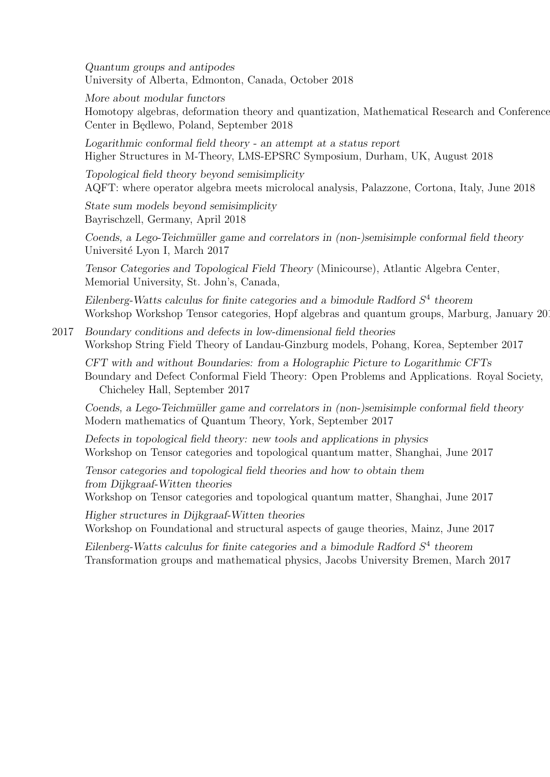Quantum groups and antipodes University of Alberta, Edmonton, Canada, October 2018

More about modular functors

Homotopy algebras, deformation theory and quantization, Mathematical Research and Conference Center in Będlewo, Poland, September 2018

Logarithmic conformal field theory - an attempt at a status report Higher Structures in M-Theory, LMS-EPSRC Symposium, Durham, UK, August 2018

Topological field theory beyond semisimplicity AQFT: where operator algebra meets microlocal analysis, Palazzone, Cortona, Italy, June 2018

State sum models beyond semisimplicity Bayrischzell, Germany, April 2018

Coends, a Lego-Teichmüller game and correlators in (non-)semisimple conformal field theory Université Lyon I, March 2017

Tensor Categories and Topological Field Theory (Minicourse), Atlantic Algebra Center, Memorial University, St. John's, Canada,

Eilenberg-Watts calculus for finite categories and a bimodule Radford  $S<sup>4</sup>$  theorem Workshop Workshop Tensor categories, Hopf algebras and quantum groups, Marburg, January 2018

2017 Boundary conditions and defects in low-dimensional field theories Workshop String Field Theory of Landau-Ginzburg models, Pohang, Korea, September 2017

CFT with and without Boundaries: from a Holographic Picture to Logarithmic CFTs Boundary and Defect Conformal Field Theory: Open Problems and Applications. Royal Society, Chicheley Hall, September 2017

Coends, a Lego-Teichmüller game and correlators in (non-)semisimple conformal field theory Modern mathematics of Quantum Theory, York, September 2017

Defects in topological field theory: new tools and applications in physics Workshop on Tensor categories and topological quantum matter, Shanghai, June 2017

Tensor categories and topological field theories and how to obtain them from Dijkgraaf-Witten theories

Workshop on Tensor categories and topological quantum matter, Shanghai, June 2017

Higher structures in Dijkgraaf-Witten theories

Workshop on Foundational and structural aspects of gauge theories, Mainz, June 2017

Eilenberg-Watts calculus for finite categories and a bimodule Radford  $S<sup>4</sup>$  theorem Transformation groups and mathematical physics, Jacobs University Bremen, March 2017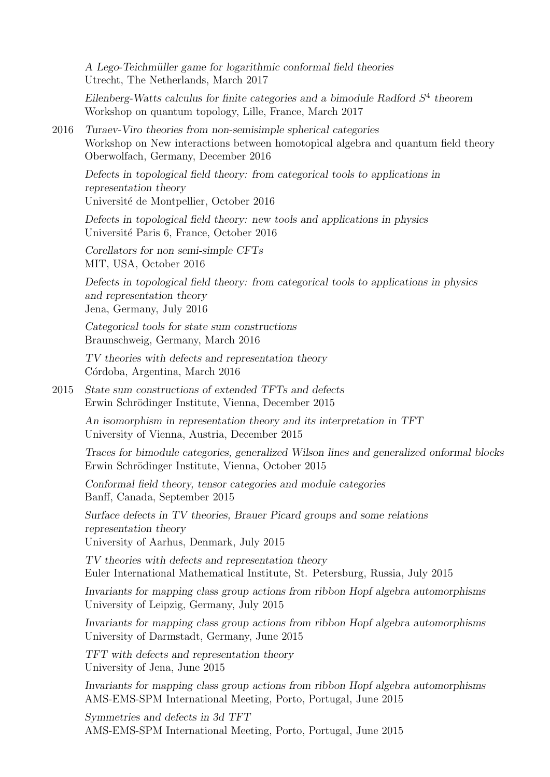A Lego-Teichmüller game for logarithmic conformal field theories Utrecht, The Netherlands, March 2017

Eilenberg-Watts calculus for finite categories and a bimodule Radford  $S<sup>4</sup>$  theorem Workshop on quantum topology, Lille, France, March 2017

2016 Turaev-Viro theories from non-semisimple spherical categories Workshop on New interactions between homotopical algebra and quantum field theory Oberwolfach, Germany, December 2016

Defects in topological field theory: from categorical tools to applications in representation theory Université de Montpellier, October 2016

Defects in topological field theory: new tools and applications in physics Université Paris 6, France, October 2016

Corellators for non semi-simple CFTs MIT, USA, October 2016

Defects in topological field theory: from categorical tools to applications in physics and representation theory Jena, Germany, July 2016

Categorical tools for state sum constructions Braunschweig, Germany, March 2016

TV theories with defects and representation theory Córdoba, Argentina, March 2016

2015 State sum constructions of extended TFTs and defects Erwin Schrödinger Institute, Vienna, December 2015

> An isomorphism in representation theory and its interpretation in TFT University of Vienna, Austria, December 2015

Traces for bimodule categories, generalized Wilson lines and generalized onformal blocks Erwin Schrödinger Institute, Vienna, October 2015

Conformal field theory, tensor categories and module categories Banff, Canada, September 2015

Surface defects in TV theories, Brauer Picard groups and some relations representation theory University of Aarhus, Denmark, July 2015

TV theories with defects and representation theory Euler International Mathematical Institute, St. Petersburg, Russia, July 2015

Invariants for mapping class group actions from ribbon Hopf algebra automorphisms University of Leipzig, Germany, July 2015

Invariants for mapping class group actions from ribbon Hopf algebra automorphisms University of Darmstadt, Germany, June 2015

TFT with defects and representation theory University of Jena, June 2015

Invariants for mapping class group actions from ribbon Hopf algebra automorphisms AMS-EMS-SPM International Meeting, Porto, Portugal, June 2015

Symmetries and defects in 3d TFT AMS-EMS-SPM International Meeting, Porto, Portugal, June 2015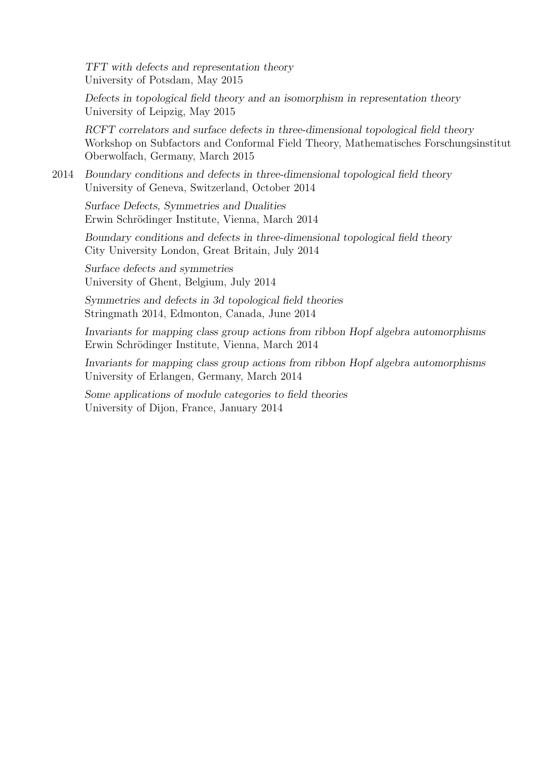TFT with defects and representation theory University of Potsdam, May 2015

Defects in topological field theory and an isomorphism in representation theory University of Leipzig, May 2015

RCFT correlators and surface defects in three-dimensional topological field theory Workshop on Subfactors and Conformal Field Theory, Mathematisches Forschungsinstitut Oberwolfach, Germany, March 2015

2014 Boundary conditions and defects in three-dimensional topological field theory University of Geneva, Switzerland, October 2014

Surface Defects, Symmetries and Dualities Erwin Schrödinger Institute, Vienna, March 2014

Boundary conditions and defects in three-dimensional topological field theory City University London, Great Britain, July 2014

Surface defects and symmetries University of Ghent, Belgium, July 2014

Symmetries and defects in 3d topological field theories Stringmath 2014, Edmonton, Canada, June 2014

Invariants for mapping class group actions from ribbon Hopf algebra automorphisms Erwin Schrödinger Institute, Vienna, March 2014

Invariants for mapping class group actions from ribbon Hopf algebra automorphisms University of Erlangen, Germany, March 2014

Some applications of module categories to field theories University of Dijon, France, January 2014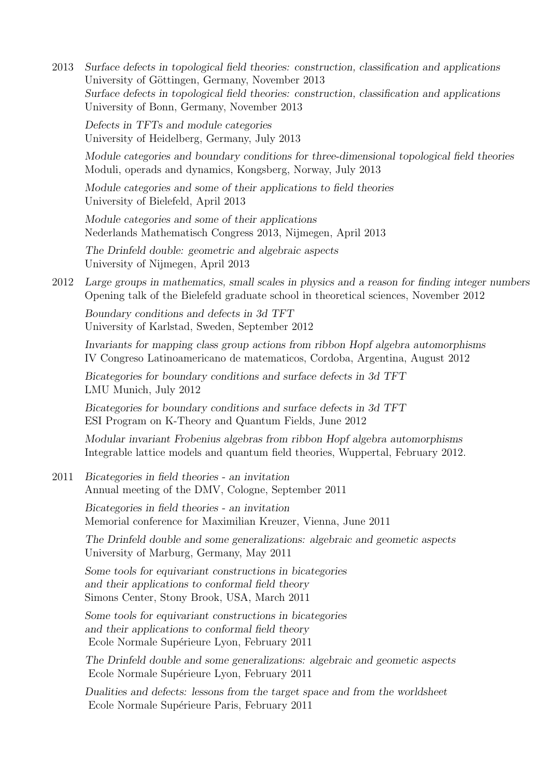2013 Surface defects in topological field theories: construction, classification and applications University of Göttingen, Germany, November 2013 Surface defects in topological field theories: construction, classification and applications University of Bonn, Germany, November 2013

Defects in TFTs and module categories University of Heidelberg, Germany, July 2013

Module categories and boundary conditions for three-dimensional topological field theories Moduli, operads and dynamics, Kongsberg, Norway, July 2013

Module categories and some of their applications to field theories University of Bielefeld, April 2013

Module categories and some of their applications Nederlands Mathematisch Congress 2013, Nijmegen, April 2013

The Drinfeld double: geometric and algebraic aspects University of Nijmegen, April 2013

2012 Large groups in mathematics, small scales in physics and a reason for finding integer numbers Opening talk of the Bielefeld graduate school in theoretical sciences, November 2012

Boundary conditions and defects in 3d TFT University of Karlstad, Sweden, September 2012

Invariants for mapping class group actions from ribbon Hopf algebra automorphisms IV Congreso Latinoamericano de matematicos, Cordoba, Argentina, August 2012

Bicategories for boundary conditions and surface defects in 3d TFT LMU Munich, July 2012

Bicategories for boundary conditions and surface defects in 3d TFT ESI Program on K-Theory and Quantum Fields, June 2012

Modular invariant Frobenius algebras from ribbon Hopf algebra automorphisms Integrable lattice models and quantum field theories, Wuppertal, February 2012.

2011 Bicategories in field theories - an invitation Annual meeting of the DMV, Cologne, September 2011

> Bicategories in field theories - an invitation Memorial conference for Maximilian Kreuzer, Vienna, June 2011

The Drinfeld double and some generalizations: algebraic and geometic aspects University of Marburg, Germany, May 2011

Some tools for equivariant constructions in bicategories and their applications to conformal field theory Simons Center, Stony Brook, USA, March 2011

Some tools for equivariant constructions in bicategories and their applications to conformal field theory Ecole Normale Supérieure Lyon, February 2011

The Drinfeld double and some generalizations: algebraic and geometic aspects Ecole Normale Supérieure Lyon, February 2011

Dualities and defects: lessons from the target space and from the worldsheet Ecole Normale Supérieure Paris, February 2011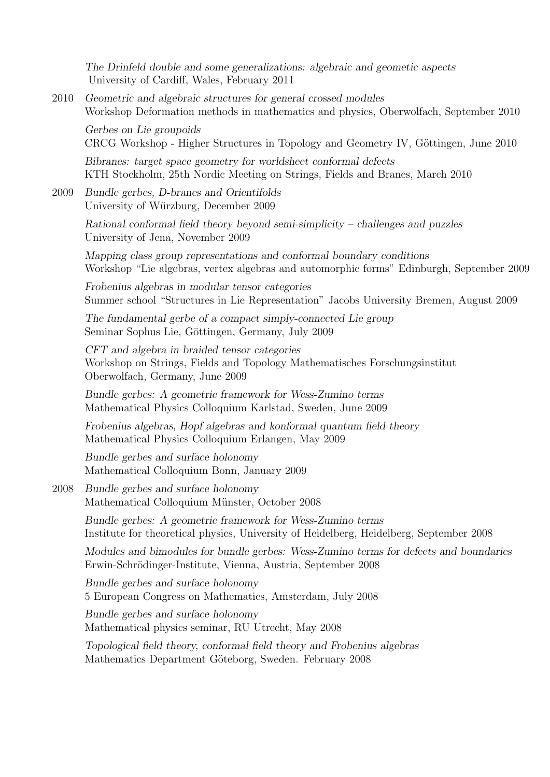The Drinfeld double and some generalizations: algebraic and geometic aspects University of Cardiff, Wales, February 2011

2010 Geometric and algebraic structures for general crossed modules Workshop Deformation methods in mathematics and physics, Oberwolfach, September 2010

Gerbes on Lie groupoids CRCG Workshop - Higher Structures in Topology and Geometry IV, Göttingen, June 2010

Bibranes: target space geometry for worldsheet conformal defects KTH Stockholm, 25th Nordic Meeting on Strings, Fields and Branes, March 2010

2009 Bundle gerbes, D-branes and Orientifolds University of Würzburg, December 2009

> Rational conformal field theory beyond semi-simplicity – challenges and puzzles University of Jena, November 2009

Mapping class group representations and conformal boundary conditions Workshop "Lie algebras, vertex algebras and automorphic forms" Edinburgh, September 2009

Frobenius algebras in modular tensor categories Summer school "Structures in Lie Representation" Jacobs University Bremen, August 2009

The fundamental gerbe of a compact simply-connected Lie group Seminar Sophus Lie, Göttingen, Germany, July 2009

CFT and algebra in braided tensor categories Workshop on Strings, Fields and Topology Mathematisches Forschungsinstitut Oberwolfach, Germany, June 2009

Bundle gerbes: A geometric framework for Wess-Zumino terms Mathematical Physics Colloquium Karlstad, Sweden, June 2009

Frobenius algebras, Hopf algebras and konformal quantum field theory Mathematical Physics Colloquium Erlangen, May 2009

Bundle gerbes and surface holonomy Mathematical Colloquium Bonn, January 2009

#### 2008 Bundle gerbes and surface holonomy Mathematical Colloquium Münster, October 2008

Bundle gerbes: A geometric framework for Wess-Zumino terms Institute for theoretical physics, University of Heidelberg, Heidelberg, September 2008

Modules and bimodules for bundle gerbes: Wess-Zumino terms for defects and boundaries Erwin-Schrödinger-Institute, Vienna, Austria, September 2008

Bundle gerbes and surface holonomy 5 European Congress on Mathematics, Amsterdam, July 2008

Bundle gerbes and surface holonomy Mathematical physics seminar, RU Utrecht, May 2008

Topological field theory, conformal field theory and Frobenius algebras Mathematics Department Göteborg, Sweden. February 2008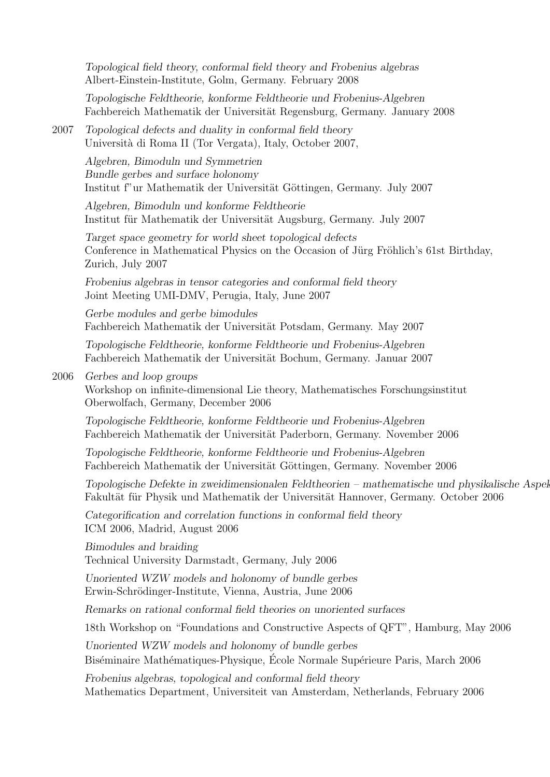Topological field theory, conformal field theory and Frobenius algebras Albert-Einstein-Institute, Golm, Germany. February 2008

Topologische Feldtheorie, konforme Feldtheorie und Frobenius-Algebren Fachbereich Mathematik der Universität Regensburg, Germany. January 2008

2007 Topological defects and duality in conformal field theory Universit`a di Roma II (Tor Vergata), Italy, October 2007,

> Algebren, Bimoduln und Symmetrien Bundle gerbes and surface holonomy Institut f"ur Mathematik der Universität Göttingen, Germany. July 2007

Algebren, Bimoduln und konforme Feldtheorie Institut für Mathematik der Universität Augsburg, Germany. July 2007

Target space geometry for world sheet topological defects Conference in Mathematical Physics on the Occasion of Jürg Fröhlich's 61st Birthday, Zurich, July 2007

Frobenius algebras in tensor categories and conformal field theory Joint Meeting UMI-DMV, Perugia, Italy, June 2007

Gerbe modules and gerbe bimodules Fachbereich Mathematik der Universität Potsdam, Germany. May 2007

Topologische Feldtheorie, konforme Feldtheorie und Frobenius-Algebren Fachbereich Mathematik der Universität Bochum, Germany. Januar 2007

#### 2006 Gerbes and loop groups

Workshop on infinite-dimensional Lie theory, Mathematisches Forschungsinstitut Oberwolfach, Germany, December 2006

Topologische Feldtheorie, konforme Feldtheorie und Frobenius-Algebren Fachbereich Mathematik der Universität Paderborn, Germany. November 2006

Topologische Feldtheorie, konforme Feldtheorie und Frobenius-Algebren Fachbereich Mathematik der Universität Göttingen, Germany. November 2006

Topologische Defekte in zweidimensionalen Feldtheorien – mathematische und physikalische Aspel Fakultät für Physik und Mathematik der Universität Hannover, Germany. October 2006

Categorification and correlation functions in conformal field theory ICM 2006, Madrid, August 2006

Bimodules and braiding Technical University Darmstadt, Germany, July 2006

Unoriented WZW models and holonomy of bundle gerbes Erwin-Schrödinger-Institute, Vienna, Austria, June 2006

Remarks on rational conformal field theories on unoriented surfaces

18th Workshop on "Foundations and Constructive Aspects of QFT", Hamburg, May 2006

Unoriented WZW models and holonomy of bundle gerbes Biséminaire Mathématiques-Physique, École Normale Supérieure Paris, March 2006

Frobenius algebras, topological and conformal field theory Mathematics Department, Universiteit van Amsterdam, Netherlands, February 2006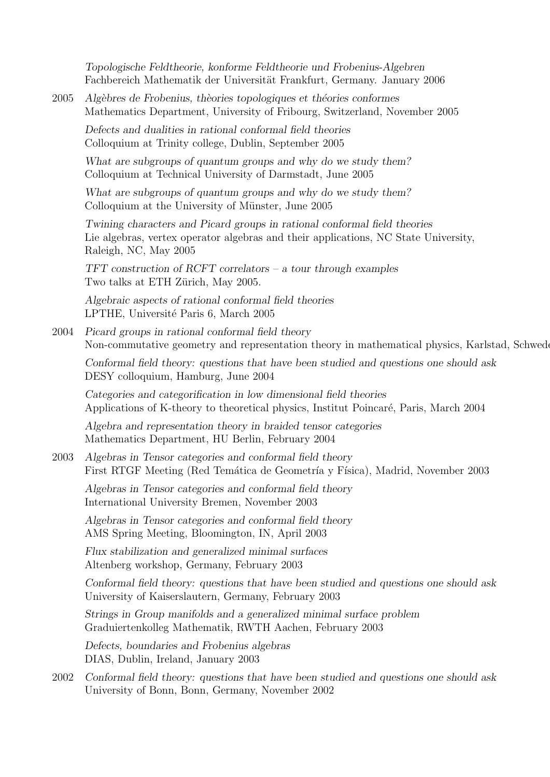Topologische Feldtheorie, konforme Feldtheorie und Frobenius-Algebren Fachbereich Mathematik der Universität Frankfurt, Germany. January 2006

2005 Algèbres de Frobenius, thèories topologiques et théories conformes Mathematics Department, University of Fribourg, Switzerland, November 2005

Defects and dualities in rational conformal field theories Colloquium at Trinity college, Dublin, September 2005

What are subgroups of quantum groups and why do we study them? Colloquium at Technical University of Darmstadt, June 2005

What are subgroups of quantum groups and why do we study them? Colloquium at the University of Münster, June 2005

Twining characters and Picard groups in rational conformal field theories Lie algebras, vertex operator algebras and their applications, NC State University, Raleigh, NC, May 2005

TFT construction of RCFT correlators – a tour through examples Two talks at ETH Zürich, May 2005.

Algebraic aspects of rational conformal field theories LPTHE, Université Paris 6, March 2005

2004 Picard groups in rational conformal field theory Non-commutative geometry and representation theory in mathematical physics, Karlstad, Schweden,  $\alpha$ 

Conformal field theory: questions that have been studied and questions one should ask DESY colloquium, Hamburg, June 2004

Categories and categorification in low dimensional field theories Applications of K-theory to theoretical physics, Institut Poincaré, Paris, March 2004

Algebra and representation theory in braided tensor categories Mathematics Department, HU Berlin, February 2004

2003 Algebras in Tensor categories and conformal field theory First RTGF Meeting (Red Temática de Geometría y Física), Madrid, November 2003

Algebras in Tensor categories and conformal field theory International University Bremen, November 2003

Algebras in Tensor categories and conformal field theory AMS Spring Meeting, Bloomington, IN, April 2003

Flux stabilization and generalized minimal surfaces Altenberg workshop, Germany, February 2003

Conformal field theory: questions that have been studied and questions one should ask University of Kaiserslautern, Germany, February 2003

Strings in Group manifolds and a generalized minimal surface problem Graduiertenkolleg Mathematik, RWTH Aachen, February 2003

Defects, boundaries and Frobenius algebras DIAS, Dublin, Ireland, January 2003

2002 Conformal field theory: questions that have been studied and questions one should ask University of Bonn, Bonn, Germany, November 2002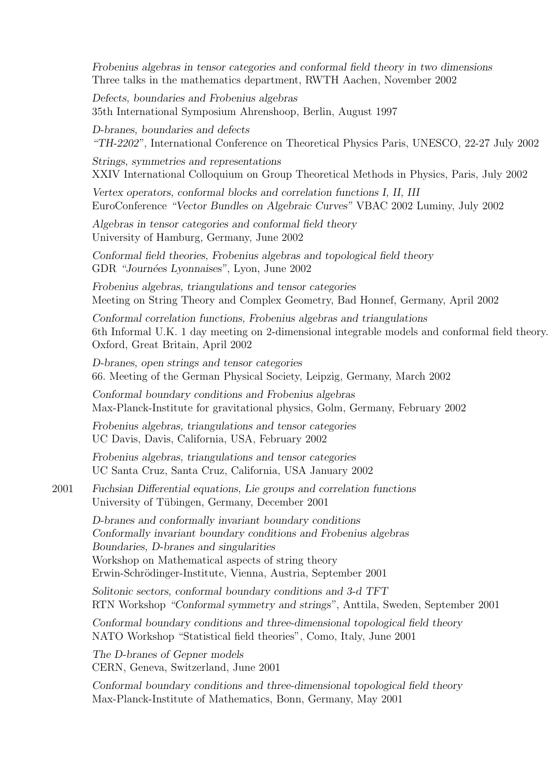Frobenius algebras in tensor categories and conformal field theory in two dimensions Three talks in the mathematics department, RWTH Aachen, November 2002

Defects, boundaries and Frobenius algebras 35th International Symposium Ahrenshoop, Berlin, August 1997

D-branes, boundaries and defects "TH-2202", International Conference on Theoretical Physics Paris, UNESCO, 22-27 July 2002

Strings, symmetries and representations XXIV International Colloquium on Group Theoretical Methods in Physics, Paris, July 2002

Vertex operators, conformal blocks and correlation functions I, II, III EuroConference "Vector Bundles on Algebraic Curves" VBAC 2002 Luminy, July 2002

Algebras in tensor categories and conformal field theory University of Hamburg, Germany, June 2002

Conformal field theories, Frobenius algebras and topological field theory GDR "Journées Lyonnaises", Lyon, June 2002

Frobenius algebras, triangulations and tensor categories Meeting on String Theory and Complex Geometry, Bad Honnef, Germany, April 2002

Conformal correlation functions, Frobenius algebras and triangulations 6th Informal U.K. 1 day meeting on 2-dimensional integrable models and conformal field theory. Oxford, Great Britain, April 2002

D-branes, open strings and tensor categories 66. Meeting of the German Physical Society, Leipzig, Germany, March 2002

Conformal boundary conditions and Frobenius algebras Max-Planck-Institute for gravitational physics, Golm, Germany, February 2002

Frobenius algebras, triangulations and tensor categories UC Davis, Davis, California, USA, February 2002

Frobenius algebras, triangulations and tensor categories UC Santa Cruz, Santa Cruz, California, USA January 2002

2001 Fuchsian Differential equations, Lie groups and correlation functions University of Tübingen, Germany, December 2001

> D-branes and conformally invariant boundary conditions Conformally invariant boundary conditions and Frobenius algebras Boundaries, D-branes and singularities Workshop on Mathematical aspects of string theory Erwin-Schrödinger-Institute, Vienna, Austria, September 2001

Solitonic sectors, conformal boundary conditions and 3-d TFT RTN Workshop "Conformal symmetry and strings", Anttila, Sweden, September 2001

Conformal boundary conditions and three-dimensional topological field theory NATO Workshop "Statistical field theories", Como, Italy, June 2001

The D-branes of Gepner models CERN, Geneva, Switzerland, June 2001

Conformal boundary conditions and three-dimensional topological field theory Max-Planck-Institute of Mathematics, Bonn, Germany, May 2001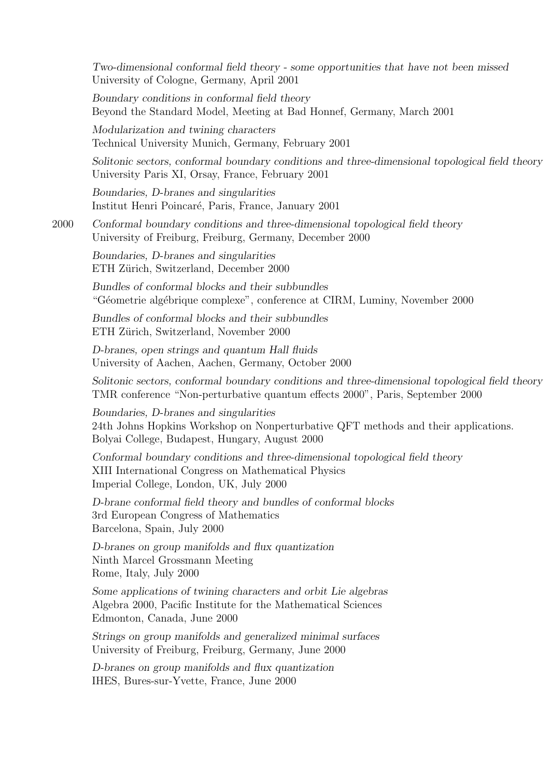Two-dimensional conformal field theory - some opportunities that have not been missed University of Cologne, Germany, April 2001

Boundary conditions in conformal field theory Beyond the Standard Model, Meeting at Bad Honnef, Germany, March 2001

Modularization and twining characters Technical University Munich, Germany, February 2001

Solitonic sectors, conformal boundary conditions and three-dimensional topological field theory University Paris XI, Orsay, France, February 2001

Boundaries, D-branes and singularities Institut Henri Poincar´e, Paris, France, January 2001

2000 Conformal boundary conditions and three-dimensional topological field theory University of Freiburg, Freiburg, Germany, December 2000

Boundaries, D-branes and singularities ETH Zürich, Switzerland, December 2000

Bundles of conformal blocks and their subbundles "Géometrie algébrique complexe", conference at CIRM, Luminy, November 2000

Bundles of conformal blocks and their subbundles ETH Zürich, Switzerland, November 2000

D-branes, open strings and quantum Hall fluids University of Aachen, Aachen, Germany, October 2000

Solitonic sectors, conformal boundary conditions and three-dimensional topological field theory TMR conference "Non-perturbative quantum effects 2000", Paris, September 2000

Boundaries, D-branes and singularities 24th Johns Hopkins Workshop on Nonperturbative QFT methods and their applications. Bolyai College, Budapest, Hungary, August 2000

Conformal boundary conditions and three-dimensional topological field theory XIII International Congress on Mathematical Physics Imperial College, London, UK, July 2000

D-brane conformal field theory and bundles of conformal blocks 3rd European Congress of Mathematics Barcelona, Spain, July 2000

D-branes on group manifolds and flux quantization Ninth Marcel Grossmann Meeting Rome, Italy, July 2000

Some applications of twining characters and orbit Lie algebras Algebra 2000, Pacific Institute for the Mathematical Sciences Edmonton, Canada, June 2000

Strings on group manifolds and generalized minimal surfaces University of Freiburg, Freiburg, Germany, June 2000

D-branes on group manifolds and flux quantization IHES, Bures-sur-Yvette, France, June 2000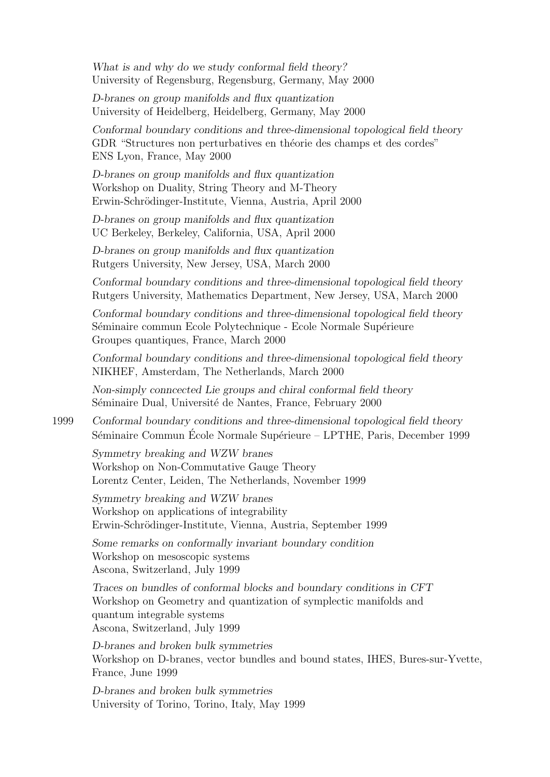What is and why do we study conformal field theory? University of Regensburg, Regensburg, Germany, May 2000

D-branes on group manifolds and flux quantization University of Heidelberg, Heidelberg, Germany, May 2000

Conformal boundary conditions and three-dimensional topological field theory GDR "Structures non perturbatives en théorie des champs et des cordes" ENS Lyon, France, May 2000

D-branes on group manifolds and flux quantization Workshop on Duality, String Theory and M-Theory Erwin-Schrödinger-Institute, Vienna, Austria, April 2000

D-branes on group manifolds and flux quantization UC Berkeley, Berkeley, California, USA, April 2000

D-branes on group manifolds and flux quantization Rutgers University, New Jersey, USA, March 2000

Conformal boundary conditions and three-dimensional topological field theory Rutgers University, Mathematics Department, New Jersey, USA, March 2000

Conformal boundary conditions and three-dimensional topological field theory Séminaire commun Ecole Polytechnique - Ecole Normale Supérieure Groupes quantiques, France, March 2000

Conformal boundary conditions and three-dimensional topological field theory NIKHEF, Amsterdam, The Netherlands, March 2000

Non-simply conncected Lie groups and chiral conformal field theory Séminaire Dual, Université de Nantes, France, February 2000

1999 Conformal boundary conditions and three-dimensional topological field theory Séminaire Commun École Normale Supérieure – LPTHE, Paris, December 1999

Symmetry breaking and WZW branes Workshop on Non-Commutative Gauge Theory Lorentz Center, Leiden, The Netherlands, November 1999

Symmetry breaking and WZW branes Workshop on applications of integrability Erwin-Schrödinger-Institute, Vienna, Austria, September 1999

Some remarks on conformally invariant boundary condition Workshop on mesoscopic systems Ascona, Switzerland, July 1999

Traces on bundles of conformal blocks and boundary conditions in CFT Workshop on Geometry and quantization of symplectic manifolds and quantum integrable systems Ascona, Switzerland, July 1999

D-branes and broken bulk symmetries Workshop on D-branes, vector bundles and bound states, IHES, Bures-sur-Yvette, France, June 1999

D-branes and broken bulk symmetries University of Torino, Torino, Italy, May 1999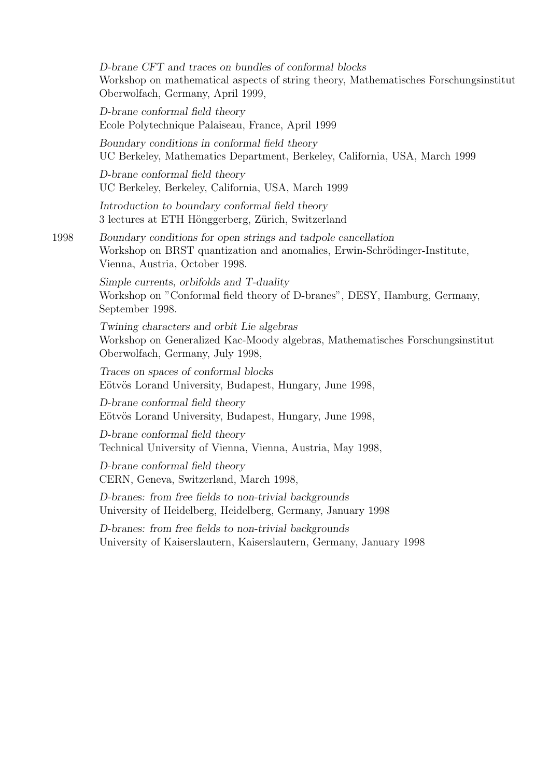D-brane CFT and traces on bundles of conformal blocks Workshop on mathematical aspects of string theory, Mathematisches Forschungsinstitut Oberwolfach, Germany, April 1999,

D-brane conformal field theory Ecole Polytechnique Palaiseau, France, April 1999

Boundary conditions in conformal field theory UC Berkeley, Mathematics Department, Berkeley, California, USA, March 1999

D-brane conformal field theory UC Berkeley, Berkeley, California, USA, March 1999

Introduction to boundary conformal field theory 3 lectures at ETH Hönggerberg, Zürich, Switzerland

1998 Boundary conditions for open strings and tadpole cancellation Workshop on BRST quantization and anomalies, Erwin-Schrödinger-Institute, Vienna, Austria, October 1998.

> Simple currents, orbifolds and T-duality Workshop on "Conformal field theory of D-branes", DESY, Hamburg, Germany, September 1998.

Twining characters and orbit Lie algebras Workshop on Generalized Kac-Moody algebras, Mathematisches Forschungsinstitut Oberwolfach, Germany, July 1998,

Traces on spaces of conformal blocks Eötvös Lorand University, Budapest, Hungary, June 1998,

D-brane conformal field theory Eötvös Lorand University, Budapest, Hungary, June 1998,

D-brane conformal field theory Technical University of Vienna, Vienna, Austria, May 1998,

D-brane conformal field theory CERN, Geneva, Switzerland, March 1998,

D-branes: from free fields to non-trivial backgrounds University of Heidelberg, Heidelberg, Germany, January 1998

D-branes: from free fields to non-trivial backgrounds University of Kaiserslautern, Kaiserslautern, Germany, January 1998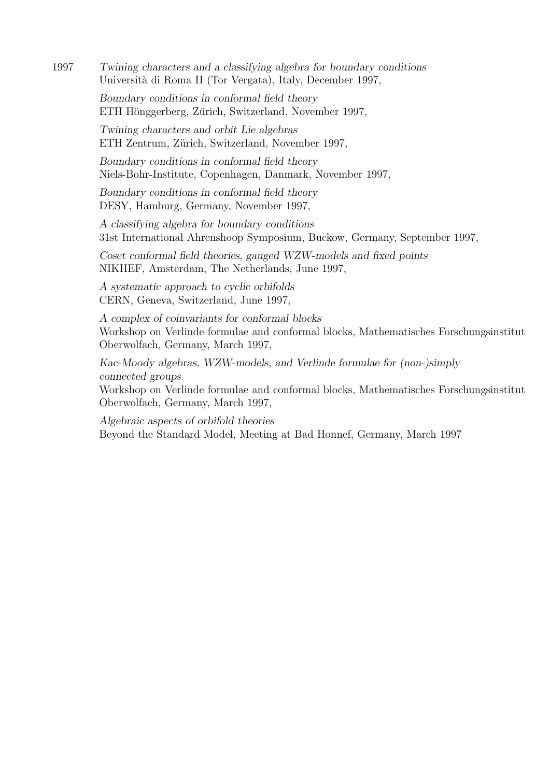1997 Twining characters and a classifying algebra for boundary conditions Universit`a di Roma II (Tor Vergata), Italy, December 1997,

> Boundary conditions in conformal field theory ETH Hönggerberg, Zürich, Switzerland, November 1997,

Twining characters and orbit Lie algebras ETH Zentrum, Zürich, Switzerland, November 1997,

Boundary conditions in conformal field theory Niels-Bohr-Institute, Copenhagen, Danmark, November 1997,

Boundary conditions in conformal field theory DESY, Hamburg, Germany, November 1997,

A classifying algebra for boundary conditions 31st International Ahrenshoop Symposium, Buckow, Germany, September 1997,

Coset conformal field theories, gauged WZW-models and fixed points NIKHEF, Amsterdam, The Netherlands, June 1997,

A systematic approach to cyclic orbifolds CERN, Geneva, Switzerland, June 1997,

A complex of coinvariants for conformal blocks Workshop on Verlinde formulae and conformal blocks, Mathematisches Forschungsinstitut Oberwolfach, Germany, March 1997,

Kac-Moody algebras, WZW-models, and Verlinde formulae for (non-)simply connected groups

Workshop on Verlinde formulae and conformal blocks, Mathematisches Forschungsinstitut Oberwolfach, Germany, March 1997,

Algebraic aspects of orbifold theories Beyond the Standard Model, Meeting at Bad Honnef, Germany, March 1997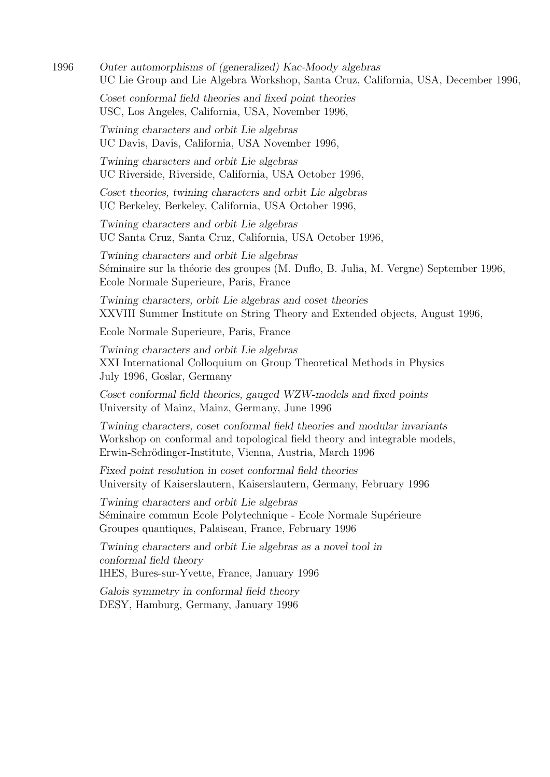1996 Outer automorphisms of (generalized) Kac-Moody algebras UC Lie Group and Lie Algebra Workshop, Santa Cruz, California, USA, December 1996,

Coset conformal field theories and fixed point theories USC, Los Angeles, California, USA, November 1996,

Twining characters and orbit Lie algebras UC Davis, Davis, California, USA November 1996,

Twining characters and orbit Lie algebras UC Riverside, Riverside, California, USA October 1996,

Coset theories, twining characters and orbit Lie algebras UC Berkeley, Berkeley, California, USA October 1996,

Twining characters and orbit Lie algebras UC Santa Cruz, Santa Cruz, California, USA October 1996,

Twining characters and orbit Lie algebras Séminaire sur la théorie des groupes (M. Duflo, B. Julia, M. Vergne) September 1996, Ecole Normale Superieure, Paris, France

Twining characters, orbit Lie algebras and coset theories XXVIII Summer Institute on String Theory and Extended objects, August 1996,

Ecole Normale Superieure, Paris, France

Twining characters and orbit Lie algebras XXI International Colloquium on Group Theoretical Methods in Physics July 1996, Goslar, Germany

Coset conformal field theories, gauged WZW-models and fixed points University of Mainz, Mainz, Germany, June 1996

Twining characters, coset conformal field theories and modular invariants Workshop on conformal and topological field theory and integrable models, Erwin-Schrödinger-Institute, Vienna, Austria, March 1996

Fixed point resolution in coset conformal field theories University of Kaiserslautern, Kaiserslautern, Germany, February 1996

Twining characters and orbit Lie algebras Séminaire commun Ecole Polytechnique - Ecole Normale Supérieure Groupes quantiques, Palaiseau, France, February 1996

Twining characters and orbit Lie algebras as a novel tool in conformal field theory IHES, Bures-sur-Yvette, France, January 1996

Galois symmetry in conformal field theory

DESY, Hamburg, Germany, January 1996